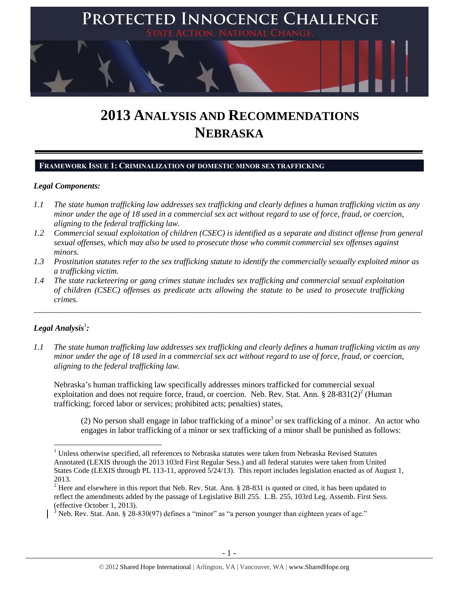

# **2013 ANALYSIS AND RECOMMENDATIONS NEBRASKA**

#### **FRAMEWORK ISSUE 1: CRIMINALIZATION OF DOMESTIC MINOR SEX TRAFFICKING**

#### *Legal Components:*

- *1.1 The state human trafficking law addresses sex trafficking and clearly defines a human trafficking victim as any minor under the age of 18 used in a commercial sex act without regard to use of force, fraud, or coercion, aligning to the federal trafficking law.*
- *1.2 Commercial sexual exploitation of children (CSEC) is identified as a separate and distinct offense from general sexual offenses, which may also be used to prosecute those who commit commercial sex offenses against minors.*
- *1.3 Prostitution statutes refer to the sex trafficking statute to identify the commercially sexually exploited minor as a trafficking victim.*

\_\_\_\_\_\_\_\_\_\_\_\_\_\_\_\_\_\_\_\_\_\_\_\_\_\_\_\_\_\_\_\_\_\_\_\_\_\_\_\_\_\_\_\_\_\_\_\_\_\_\_\_\_\_\_\_\_\_\_\_\_\_\_\_\_\_\_\_\_\_\_\_\_\_\_\_\_\_\_\_\_\_\_\_\_\_\_\_\_\_\_\_\_\_

*1.4 The state racketeering or gang crimes statute includes sex trafficking and commercial sexual exploitation of children (CSEC) offenses as predicate acts allowing the statute to be used to prosecute trafficking crimes.* 

## $\bm{L}$ egal Analysis $^1$ :

 $\overline{a}$ 

*1.1 The state human trafficking law addresses sex trafficking and clearly defines a human trafficking victim as any minor under the age of 18 used in a commercial sex act without regard to use of force, fraud, or coercion, aligning to the federal trafficking law.*

Nebraska's human trafficking law specifically addresses minors trafficked for commercial sexual exploitation and does not require force, fraud, or coercion. Neb. Rev. Stat. Ann. § 28-831(2)<sup>2</sup> (Human trafficking; forced labor or services; prohibited acts; penalties) states,

<span id="page-0-0"></span>(2) No person shall engage in labor trafficking of a minor<sup>3</sup> or sex trafficking of a minor. An actor who engages in labor trafficking of a minor or sex trafficking of a minor shall be punished as follows:

<sup>&</sup>lt;sup>1</sup> Unless otherwise specified, all references to Nebraska statutes were taken from Nebraska Revised Statutes Annotated (LEXIS through the 2013 103rd First Regular Sess.) and all federal statutes were taken from United States Code (LEXIS through PL 113-11, approved 5/24/13). This report includes legislation enacted as of August 1, 2013.

<sup>&</sup>lt;sup>2</sup> Here and elsewhere in this report that Neb. Rev. Stat. Ann.  $\S$  28-831 is quoted or cited, it has been updated to reflect the amendments added by the passage of Legislative Bill 255. L.B. 255, 103rd Leg. Assemb. First Sess. (effective October 1, 2013).

 $3$  Neb. Rev. Stat. Ann. § 28-830(97) defines a "minor" as "a person younger than eighteen years of age."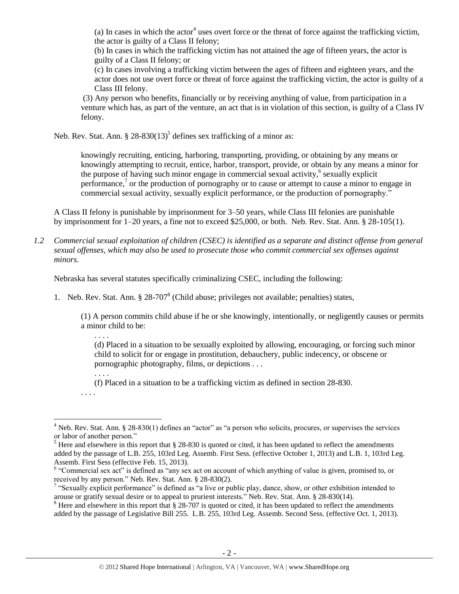(a) In cases in which the actor<sup>4</sup> uses overt force or the threat of force against the trafficking victim, the actor is guilty of a Class II felony;

(b) In cases in which the trafficking victim has not attained the age of fifteen years, the actor is guilty of a Class II felony; or

(c) In cases involving a trafficking victim between the ages of fifteen and eighteen years, and the actor does not use overt force or threat of force against the trafficking victim, the actor is guilty of a Class III felony.

(3) Any person who benefits, financially or by receiving anything of value, from participation in a venture which has, as part of the venture, an act that is in violation of this section, is guilty of a Class IV felony.

Neb. Rev. Stat. Ann.  $\S 28-830(13)^5$  defines sex trafficking of a minor as:

<span id="page-1-0"></span>knowingly recruiting, enticing, harboring, transporting, providing, or obtaining by any means or knowingly attempting to recruit, entice, harbor, transport, provide, or obtain by any means a minor for the purpose of having such minor engage in commercial sexual activity,<sup>6</sup> sexually explicit performance,<sup>7</sup> or the production of pornography or to cause or attempt to cause a minor to engage in commercial sexual activity, sexually explicit performance, or the production of pornography."

A Class II felony is punishable by imprisonment for 3–50 years, while Class III felonies are punishable by imprisonment for 1–20 years, a fine not to exceed \$25,000, or both. Neb. Rev. Stat. Ann. § 28-105(1).

*1.2 Commercial sexual exploitation of children (CSEC) is identified as a separate and distinct offense from general sexual offenses, which may also be used to prosecute those who commit commercial sex offenses against minors.*

Nebraska has several statutes specifically criminalizing CSEC, including the following:

1. Neb. Rev. Stat. Ann. § 28-707<sup>8</sup> (Child abuse; privileges not available; penalties) states,

(1) A person commits child abuse if he or she knowingly, intentionally, or negligently causes or permits a minor child to be:

<span id="page-1-1"></span>. . . .

(d) Placed in a situation to be sexually exploited by allowing, encouraging, or forcing such minor child to solicit for or engage in prostitution, debauchery, public indecency, or obscene or pornographic photography, films, or depictions . . .

. . . . (f) Placed in a situation to be a trafficking victim as defined in section 28-830.

. . . .

 $\overline{a}$ 

Neb. Rev. Stat. Ann. § 28-830(1) defines an "actor" as "a person who solicits, procures, or supervises the services or labor of another person."

 $<sup>5</sup>$  Here and elsewhere in this report that § 28-830 is quoted or cited, it has been updated to reflect the amendments</sup> added by the passage of L.B. 255, 103rd Leg. Assemb. First Sess. (effective October 1, 2013) and L.B. 1, 103rd Leg. Assemb. First Sess (effective Feb. 15, 2013).

<sup>&</sup>lt;sup>6</sup> "Commercial sex act" is defined as "any sex act on account of which anything of value is given, promised to, or received by any person." Neb. Rev. Stat. Ann. § 28-830(2).<br><sup>7</sup> "Sexually explicit performance" is defined as "a live or public play, dance, show, or other exhibition intended to

arouse or gratify sexual desire or to appeal to prurient interests." Neb. Rev. Stat. Ann. § 28-830(14).

<sup>&</sup>lt;sup>8</sup> Here and elsewhere in this report that § 28-707 is quoted or cited, it has been updated to reflect the amendments added by the passage of Legislative Bill 255. L.B. 255, 103rd Leg. Assemb. Second Sess. (effective Oct. 1, 2013).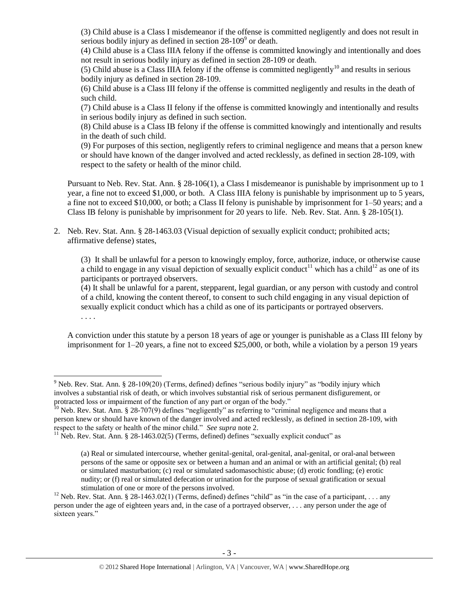(3) Child abuse is a Class I misdemeanor if the offense is committed negligently and does not result in serious bodily injury as defined in section  $28-109^\circ$  or death.

(4) Child abuse is a Class IIIA felony if the offense is committed knowingly and intentionally and does not result in serious bodily injury as defined in section 28-109 or death.

(5) Child abuse is a Class IIIA felony if the offense is committed negligently<sup>10</sup> and results in serious bodily injury as defined in section 28-109.

(6) Child abuse is a Class III felony if the offense is committed negligently and results in the death of such child.

(7) Child abuse is a Class II felony if the offense is committed knowingly and intentionally and results in serious bodily injury as defined in such section.

(8) Child abuse is a Class IB felony if the offense is committed knowingly and intentionally and results in the death of such child.

(9) For purposes of this section, negligently refers to criminal negligence and means that a person knew or should have known of the danger involved and acted recklessly, as defined in section 28-109, with respect to the safety or health of the minor child.

Pursuant to Neb. Rev. Stat. Ann. § 28-106(1), a Class I misdemeanor is punishable by imprisonment up to 1 year, a fine not to exceed \$1,000, or both. A Class IIIA felony is punishable by imprisonment up to 5 years, a fine not to exceed \$10,000, or both; a Class II felony is punishable by imprisonment for 1–50 years; and a Class IB felony is punishable by imprisonment for 20 years to life. Neb. Rev. Stat. Ann. § 28-105(1).

<span id="page-2-1"></span>2. Neb. Rev. Stat. Ann. § 28-1463.03 (Visual depiction of sexually explicit conduct; prohibited acts; affirmative defense) states,

<span id="page-2-2"></span><span id="page-2-0"></span>(3) It shall be unlawful for a person to knowingly employ, force, authorize, induce, or otherwise cause a child to engage in any visual depiction of sexually explicit conduct<sup>11</sup> which has a child<sup>12</sup> as one of its participants or portrayed observers.

(4) It shall be unlawful for a parent, stepparent, legal guardian, or any person with custody and control of a child, knowing the content thereof, to consent to such child engaging in any visual depiction of sexually explicit conduct which has a child as one of its participants or portrayed observers. . . . .

A conviction under this statute by a person 18 years of age or younger is punishable as a Class III felony by imprisonment for 1–20 years, a fine not to exceed \$25,000, or both, while a violation by a person 19 years

 $\overline{\phantom{a}}$ 

<sup>&</sup>lt;sup>9</sup> Neb. Rev. Stat. Ann. § 28-109(20) (Terms, defined) defines "serious bodily injury" as "bodily injury which involves a substantial risk of death, or which involves substantial risk of serious permanent disfigurement, or protracted loss or impairment of the function of any part or organ of the body."

 $10$  Neb. Rev. Stat. Ann. § 28-707(9) defines "negligently" as referring to "criminal negligence and means that a person knew or should have known of the danger involved and acted recklessly, as defined in section 28-109, with respect to the safety or health of the minor child." *See supra* note [2.](#page-0-0)

<sup>&</sup>lt;sup>11</sup> Neb. Rev. Stat. Ann. § 28-1463.02(5) (Terms, defined) defines "sexually explicit conduct" as

<sup>(</sup>a) Real or simulated intercourse, whether genital-genital, oral-genital, anal-genital, or oral-anal between persons of the same or opposite sex or between a human and an animal or with an artificial genital; (b) real or simulated masturbation; (c) real or simulated sadomasochistic abuse; (d) erotic fondling; (e) erotic nudity; or (f) real or simulated defecation or urination for the purpose of sexual gratification or sexual stimulation of one or more of the persons involved.

<sup>&</sup>lt;sup>12</sup> Neb. Rev. Stat. Ann. § 28-1463.02(1) (Terms, defined) defines "child" as "in the case of a participant, ... any person under the age of eighteen years and, in the case of a portrayed observer, . . . any person under the age of sixteen years."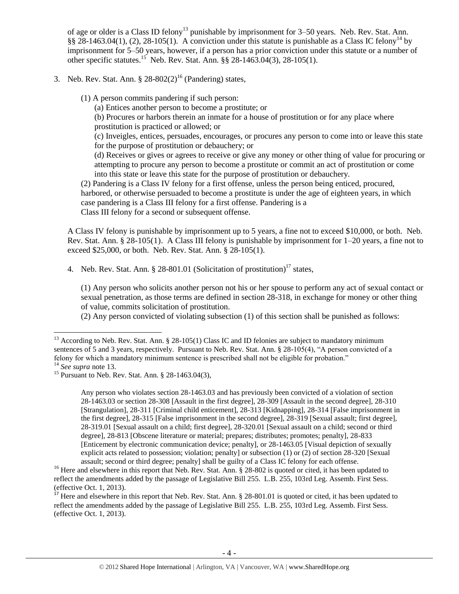<span id="page-3-0"></span>of age or older is a Class ID felony<sup>13</sup> punishable by imprisonment for 3–50 years. Neb. Rev. Stat. Ann. §§ 28-1463.04(1), (2), 28-105(1). A conviction under this statute is punishable as a Class IC felony<sup>14</sup> by imprisonment for 5–50 years, however, if a person has a prior conviction under this statute or a number of other specific statutes.<sup>15</sup> Neb. Rev. Stat. Ann. §§ 28-1463.04(3), 28-105(1).

- 3. Neb. Rev. Stat. Ann.  $\S 28-802(2)^{16}$  (Pandering) states,
	- (1) A person commits pandering if such person:
		- (a) Entices another person to become a prostitute; or

<span id="page-3-2"></span><span id="page-3-1"></span>(b) Procures or harbors therein an inmate for a house of prostitution or for any place where prostitution is practiced or allowed; or

(c) Inveigles, entices, persuades, encourages, or procures any person to come into or leave this state for the purpose of prostitution or debauchery; or

(d) Receives or gives or agrees to receive or give any money or other thing of value for procuring or attempting to procure any person to become a prostitute or commit an act of prostitution or come into this state or leave this state for the purpose of prostitution or debauchery.

(2) Pandering is a Class IV felony for a first offense, unless the person being enticed, procured, harbored, or otherwise persuaded to become a prostitute is under the age of eighteen years, in which case pandering is a Class III felony for a first offense. Pandering is a Class III felony for a second or subsequent offense.

A Class IV felony is punishable by imprisonment up to 5 years, a fine not to exceed \$10,000, or both. Neb. Rev. Stat. Ann. § 28-105(1). A Class III felony is punishable by imprisonment for 1–20 years, a fine not to exceed \$25,000, or both. Neb. Rev. Stat. Ann. § 28-105(1).

4. Neb. Rev. Stat. Ann.  $\S 28-801.01$  (Solicitation of prostitution)<sup>17</sup> states,

(1) Any person who solicits another person not his or her spouse to perform any act of sexual contact or sexual penetration, as those terms are defined in section 28-318, in exchange for money or other thing of value, commits solicitation of prostitution.

(2) Any person convicted of violating subsection (1) of this section shall be punished as follows:

 $\overline{\phantom{a}}$ 

Any person who violates section 28-1463.03 and has previously been convicted of a violation of section 28-1463.03 or section 28-308 [Assault in the first degree], 28-309 [Assault in the second degree], 28-310 [Strangulation], 28-311 [Criminal child enticement], 28-313 [Kidnapping], 28-314 [False imprisonment in the first degree], 28-315 [False imprisonment in the second degree], 28-319 [Sexual assault; first degree], 28-319.01 [Sexual assault on a child; first degree], 28-320.01 [Sexual assault on a child; second or third degree], 28-813 [Obscene literature or material; prepares; distributes; promotes; penalty], 28-833 [Enticement by electronic communication device; penalty], or 28-1463.05 [Visual depiction of sexually explicit acts related to possession; violation; penalty] or subsection (1) or (2) of section 28-320 [Sexual assault; second or third degree; penalty] shall be guilty of a Class IC felony for each offense.

<sup>17</sup> Here and elsewhere in this report that Neb. Rev. Stat. Ann.  $\S$  28-801.01 is quoted or cited, it has been updated to reflect the amendments added by the passage of Legislative Bill 255. L.B. 255, 103rd Leg. Assemb. First Sess. (effective Oct. 1, 2013).

 $13$  According to Neb. Rev. Stat. Ann. § 28-105(1) Class IC and ID felonies are subject to mandatory minimum sentences of 5 and 3 years, respectively. Pursuant to Neb. Rev. Stat. Ann. § 28-105(4), "A person convicted of a felony for which a mandatory minimum sentence is prescribed shall not be eligible for probation." <sup>14</sup> *See supra* note [13.](#page-3-0) 

<sup>15</sup> Pursuant to Neb. Rev. Stat. Ann. § 28-1463.04(3),

<sup>&</sup>lt;sup>16</sup> Here and elsewhere in this report that Neb. Rev. Stat. Ann.  $\S$  28-802 is quoted or cited, it has been updated to reflect the amendments added by the passage of Legislative Bill 255. L.B. 255, 103rd Leg. Assemb. First Sess. (effective Oct. 1, 2013).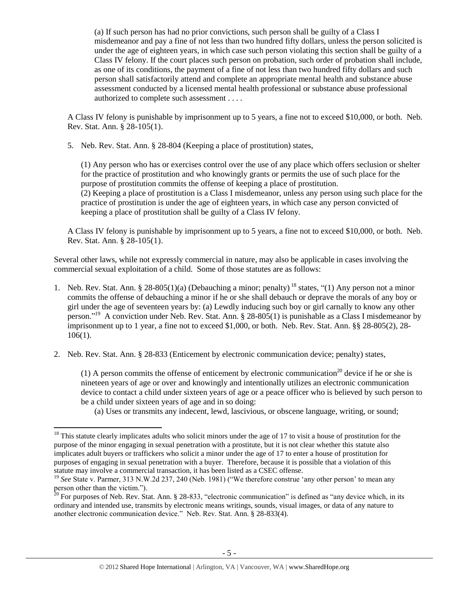(a) If such person has had no prior convictions, such person shall be guilty of a Class I misdemeanor and pay a fine of not less than two hundred fifty dollars, unless the person solicited is under the age of eighteen years, in which case such person violating this section shall be guilty of a Class IV felony. If the court places such person on probation, such order of probation shall include, as one of its conditions, the payment of a fine of not less than two hundred fifty dollars and such person shall satisfactorily attend and complete an appropriate mental health and substance abuse assessment conducted by a licensed mental health professional or substance abuse professional authorized to complete such assessment . . . .

A Class IV felony is punishable by imprisonment up to 5 years, a fine not to exceed \$10,000, or both. Neb. Rev. Stat. Ann. § 28-105(1).

5. Neb. Rev. Stat. Ann. § 28-804 (Keeping a place of prostitution) states,

(1) Any person who has or exercises control over the use of any place which offers seclusion or shelter for the practice of prostitution and who knowingly grants or permits the use of such place for the purpose of prostitution commits the offense of keeping a place of prostitution. (2) Keeping a place of prostitution is a Class I misdemeanor, unless any person using such place for the practice of prostitution is under the age of eighteen years, in which case any person convicted of keeping a place of prostitution shall be guilty of a Class IV felony.

A Class IV felony is punishable by imprisonment up to 5 years, a fine not to exceed \$10,000, or both. Neb. Rev. Stat. Ann. § 28-105(1).

Several other laws, while not expressly commercial in nature, may also be applicable in cases involving the commercial sexual exploitation of a child. Some of those statutes are as follows:

- 1. Neb. Rev. Stat. Ann. § 28-805(1)(a) (Debauching a minor; penalty)<sup>18</sup> states, "(1) Any person not a minor commits the offense of debauching a minor if he or she shall debauch or deprave the morals of any boy or girl under the age of seventeen years by: (a) Lewdly inducing such boy or girl carnally to know any other person."<sup>19</sup> A conviction under Neb. Rev. Stat. Ann. § 28-805(1) is punishable as a Class I misdemeanor by imprisonment up to 1 year, a fine not to exceed \$1,000, or both. Neb. Rev. Stat. Ann. §§ 28-805(2), 28- 106(1).
- 2. Neb. Rev. Stat. Ann. § 28-833 (Enticement by electronic communication device; penalty) states,

<span id="page-4-1"></span>(1) A person commits the offense of enticement by electronic communication<sup>20</sup> device if he or she is nineteen years of age or over and knowingly and intentionally utilizes an electronic communication device to contact a child under sixteen years of age or a peace officer who is believed by such person to be a child under sixteen years of age and in so doing:

<span id="page-4-0"></span>(a) Uses or transmits any indecent, lewd, lascivious, or obscene language, writing, or sound;

 $\overline{\phantom{a}}$ 

 $18$  This statute clearly implicates adults who solicit minors under the age of 17 to visit a house of prostitution for the purpose of the minor engaging in sexual penetration with a prostitute, but it is not clear whether this statute also implicates adult buyers or traffickers who solicit a minor under the age of 17 to enter a house of prostitution for purposes of engaging in sexual penetration with a buyer. Therefore, because it is possible that a violation of this statute may involve a commercial transaction, it has been listed as a CSEC offense.

<sup>&</sup>lt;sup>19</sup> See State v. Parmer, 313 N.W.2d 237, 240 (Neb. 1981) ("We therefore construe 'any other person' to mean any person other than the victim.").

 $20$  For purposes of Neb. Rev. Stat. Ann. § 28-833, "electronic communication" is defined as "any device which, in its ordinary and intended use, transmits by electronic means writings, sounds, visual images, or data of any nature to another electronic communication device." Neb. Rev. Stat. Ann. § 28-833(4).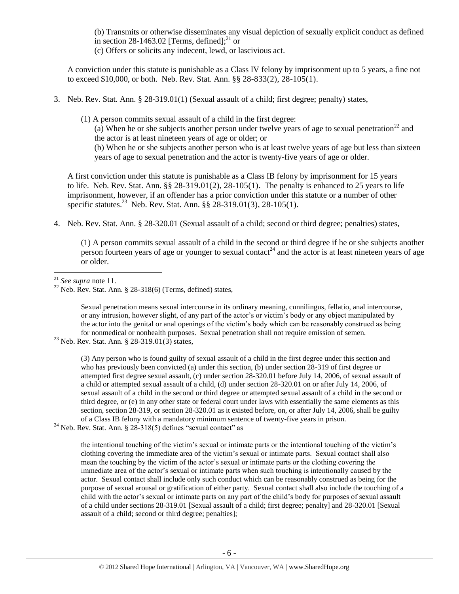(b) Transmits or otherwise disseminates any visual depiction of sexually explicit conduct as defined in section [28-1463.02](http://nebraskalegislature.gov/laws/statutes.php?statute=28-1463.02) [Terms, defined]; $^{21}$  or (c) Offers or solicits any indecent, lewd, or lascivious act.

A conviction under this statute is punishable as a Class IV felony by imprisonment up to 5 years, a fine not to exceed \$10,000, or both. Neb. Rev. Stat. Ann. §§ 28-833(2), 28-105(1).

- 3. Neb. Rev. Stat. Ann. § 28-319.01(1) (Sexual assault of a child; first degree; penalty) states,
	- (1) A person commits sexual assault of a child in the first degree: (a) When he or she subjects another person under twelve years of age to sexual penetration<sup>22</sup> and the actor is at least nineteen years of age or older; or (b) When he or she subjects another person who is at least twelve years of age but less than sixteen years of age to sexual penetration and the actor is twenty-five years of age or older.

A first conviction under this statute is punishable as a Class IB felony by imprisonment for 15 years to life. Neb. Rev. Stat. Ann. §§ 28-319.01(2), 28-105(1). The penalty is enhanced to 25 years to life imprisonment, however, if an offender has a prior conviction under this statute or a number of other specific statutes.<sup>23</sup> Neb. Rev. Stat. Ann.  $\S$ § 28-319.01(3), 28-105(1).

4. Neb. Rev. Stat. Ann. § 28-320.01 (Sexual assault of a child; second or third degree; penalties) states,

(1) A person commits sexual assault of a child in the second or third degree if he or she subjects another person fourteen years of age or younger to sexual contact<sup>24</sup> and the actor is at least nineteen years of age or older.

Sexual penetration means sexual intercourse in its ordinary meaning, cunnilingus, fellatio, anal intercourse, or any intrusion, however slight, of any part of the actor's or victim's body or any object manipulated by the actor into the genital or anal openings of the victim's body which can be reasonably construed as being for nonmedical or nonhealth purposes. Sexual penetration shall not require emission of semen.

(3) Any person who is found guilty of sexual assault of a child in the first degree under this section and who has previously been convicted (a) under this section, (b) under section 28-319 of first degree or attempted first degree sexual assault, (c) under section 28-320.01 before July 14, 2006, of sexual assault of a child or attempted sexual assault of a child, (d) under section 28-320.01 on or after July 14, 2006, of sexual assault of a child in the second or third degree or attempted sexual assault of a child in the second or third degree, or (e) in any other state or federal court under laws with essentially the same elements as this section, section 28-319, or section 28-320.01 as it existed before, on, or after July 14, 2006, shall be guilty of a Class IB felony with a mandatory minimum sentence of twenty-five years in prison.

 $24$  Neb. Rev. Stat. Ann. § 28-318(5) defines "sexual contact" as

the intentional touching of the victim's sexual or intimate parts or the intentional touching of the victim's clothing covering the immediate area of the victim's sexual or intimate parts. Sexual contact shall also mean the touching by the victim of the actor's sexual or intimate parts or the clothing covering the immediate area of the actor's sexual or intimate parts when such touching is intentionally caused by the actor. Sexual contact shall include only such conduct which can be reasonably construed as being for the purpose of sexual arousal or gratification of either party. Sexual contact shall also include the touching of a child with the actor's sexual or intimate parts on any part of the child's body for purposes of sexual assault of a child under sections 28-319.01 [Sexual assault of a child; first degree; penalty] and 28-320.01 [Sexual assault of a child; second or third degree; penalties];

 $\overline{\phantom{a}}$ <sup>21</sup> *See supra* note [11.](#page-2-0) 

<sup>&</sup>lt;sup>22</sup> Neb. Rev. Stat. Ann. § 28-318(6) (Terms, defined) states,

<sup>&</sup>lt;sup>23</sup> Neb. Rev. Stat. Ann. § 28-319.01(3) states,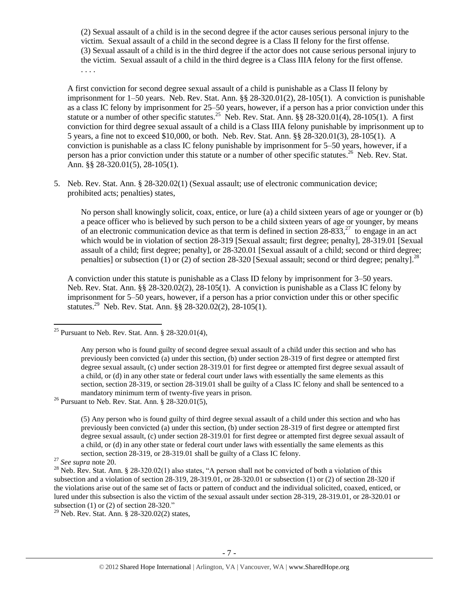(2) Sexual assault of a child is in the second degree if the actor causes serious personal injury to the victim. Sexual assault of a child in the second degree is a Class II felony for the first offense. (3) Sexual assault of a child is in the third degree if the actor does not cause serious personal injury to the victim. Sexual assault of a child in the third degree is a Class IIIA felony for the first offense. . . . .

A first conviction for second degree sexual assault of a child is punishable as a Class II felony by imprisonment for 1–50 years. Neb. Rev. Stat. Ann. §§ 28-320.01(2), 28-105(1). A conviction is punishable as a class IC felony by imprisonment for 25–50 years, however, if a person has a prior conviction under this statute or a number of other specific statutes.<sup>25</sup> Neb. Rev. Stat. Ann.  $\frac{88}{28}$ -320.01(4), 28-105(1). A first conviction for third degree sexual assault of a child is a Class IIIA felony punishable by imprisonment up to 5 years, a fine not to exceed \$10,000, or both. Neb. Rev. Stat. Ann. §§ 28-320.01(3), 28-105(1). A conviction is punishable as a class IC felony punishable by imprisonment for 5–50 years, however, if a person has a prior conviction under this statute or a number of other specific statutes.<sup>26</sup> Neb. Rev. Stat. Ann. §§ 28-320.01(5), 28-105(1).

5. Neb. Rev. Stat. Ann. § 28-320.02(1) (Sexual assault; use of electronic communication device; prohibited acts; penalties) states,

<span id="page-6-1"></span>No person shall knowingly solicit, coax, entice, or lure (a) a child sixteen years of age or younger or (b) a peace officer who is believed by such person to be a child sixteen years of age or younger, by means of an electronic communication device as that term is defined in section  $28-833$ ,<sup>27</sup> to engage in an act which would be in violation of section [28-319](http://nebraskalegislature.gov/laws/statutes.php?statute=28-319) [Sexual assault; first degree; penalty], [28-319.01](http://nebraskalegislature.gov/laws/statutes.php?statute=28-319.01) [Sexual assault of a child; first degree; penalty], or [28-320.01](http://nebraskalegislature.gov/laws/statutes.php?statute=28-320.01) [Sexual assault of a child; second or third degree; penalties] or subsection (1) or (2) of section [28-320](http://nebraskalegislature.gov/laws/statutes.php?statute=28-320) [Sexual assault; second or third degree; penalty].<sup>28</sup>

<span id="page-6-0"></span>A conviction under this statute is punishable as a Class ID felony by imprisonment for 3–50 years. Neb. Rev. Stat. Ann. §§ 28-320.02(2), 28-105(1). A conviction is punishable as a Class IC felony by imprisonment for 5–50 years, however, if a person has a prior conviction under this or other specific statutes.<sup>29</sup> Neb. Rev. Stat. Ann. §§ 28-320.02(2), 28-105(1).

<sup>26</sup> Pursuant to Neb. Rev. Stat. Ann. § 28-320.01(5),

 $\overline{\phantom{a}}$ 

<sup>29</sup> Neb. Rev. Stat. Ann. § 28-320.02(2) states,

<sup>&</sup>lt;sup>25</sup> Pursuant to Neb. Rev. Stat. Ann.  $\S$  28-320.01(4),

Any person who is found guilty of second degree sexual assault of a child under this section and who has previously been convicted (a) under this section, (b) under section 28-319 of first degree or attempted first degree sexual assault, (c) under section 28-319.01 for first degree or attempted first degree sexual assault of a child, or (d) in any other state or federal court under laws with essentially the same elements as this section, section 28-319, or section 28-319.01 shall be guilty of a Class IC felony and shall be sentenced to a mandatory minimum term of twenty-five years in prison.

<sup>(5)</sup> Any person who is found guilty of third degree sexual assault of a child under this section and who has previously been convicted (a) under this section, (b) under section 28-319 of first degree or attempted first degree sexual assault, (c) under section 28-319.01 for first degree or attempted first degree sexual assault of a child, or (d) in any other state or federal court under laws with essentially the same elements as this section, section 28-319, or 28-319.01 shall be guilty of a Class IC felony.

<sup>27</sup> *See supra* note [20.](#page-4-0) 

<sup>&</sup>lt;sup>28</sup> Neb. Rev. Stat. Ann. § 28-320.02(1) also states, "A person shall not be convicted of both a violation of this subsection and a violation of section 28-319, 28-319.01, or 28-320.01 or subsection (1) or (2) of section 28-320 if the violations arise out of the same set of facts or pattern of conduct and the individual solicited, coaxed, enticed, or lured under this subsection is also the victim of the sexual assault under section 28-319, 28-319.01, or 28-320.01 or subsection (1) or (2) of section 28-320."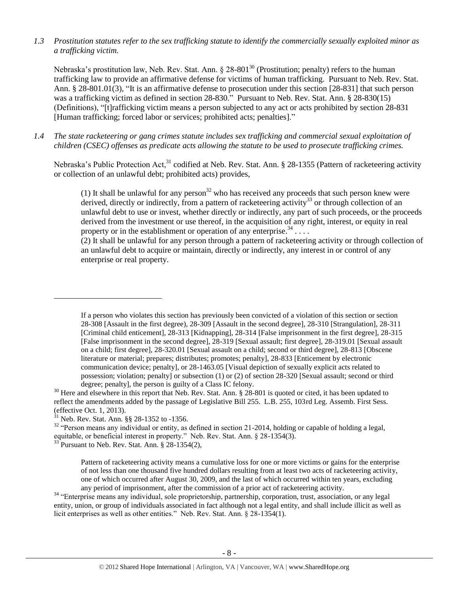*1.3 Prostitution statutes refer to the sex trafficking statute to identify the commercially sexually exploited minor as a trafficking victim.* 

<span id="page-7-0"></span>Nebraska's prostitution law, Neb. Rev. Stat. Ann. § 28-801<sup>30</sup> (Prostitution; penalty) refers to the human trafficking law to provide an affirmative defense for victims of human trafficking. Pursuant to Neb. Rev. Stat. Ann. § 28-801.01(3), "It is an affirmative defense to prosecution under this section [28-831] that such person was a trafficking victim as defined in section 28-830." Pursuant to Neb. Rev. Stat. Ann. § 28-830(15) (Definitions), "[t]rafficking victim means a person subjected to any act or acts prohibited by section 28-831 [Human trafficking; forced labor or services; prohibited acts; penalties]."

*1.4 The state racketeering or gang crimes statute includes sex trafficking and commercial sexual exploitation of children (CSEC) offenses as predicate acts allowing the statute to be used to prosecute trafficking crimes.* 

Nebraska's Public Protection Act,<sup>31</sup> codified at Neb. Rev. Stat. Ann. § 28-1355 (Pattern of racketeering activity or collection of an unlawful debt; prohibited acts) provides,

(1) It shall be unlawful for any person<sup>32</sup> who has received any proceeds that such person knew were derived, directly or indirectly, from a pattern of racketeering activity<sup>33</sup> or through collection of an unlawful debt to use or invest, whether directly or indirectly, any part of such proceeds, or the proceeds derived from the investment or use thereof, in the acquisition of any right, interest, or equity in real property or in the establishment or operation of any enterprise.  $34$ ...

(2) It shall be unlawful for any person through a pattern of racketeering activity or through collection of an unlawful debt to acquire or maintain, directly or indirectly, any interest in or control of any enterprise or real property.

If a person who violates this section has previously been convicted of a violation of this section or section 28-308 [Assault in the first degree), 28-309 [Assault in the second degree], 28-310 [Strangulation], 28-311 [Criminal child enticement], 28-313 [Kidnapping], 28-314 [False imprisonment in the first degree], 28-315 [False imprisonment in the second degree], 28-319 [Sexual assault; first degree], 28-319.01 [Sexual assault on a child; first degree], 28-320.01 [Sexual assault on a child; second or third degree], 28-813 [Obscene literature or material; prepares; distributes; promotes; penalty], 28-833 [Enticement by electronic communication device; penalty], or 28-1463.05 [Visual depiction of sexually explicit acts related to possession; violation; penalty] or subsection (1) or (2) of section 28-320 [Sexual assault; second or third degree; penalty], the person is guilty of a Class IC felony.

 $30$  Here and elsewhere in this report that Neb. Rev. Stat. Ann. § 28-801 is quoted or cited, it has been updated to reflect the amendments added by the passage of Legislative Bill 255. L.B. 255, 103rd Leg. Assemb. First Sess. (effective Oct. 1, 2013).

 $\overline{\phantom{a}}$ 

<sup>32</sup> "Person means any individual or entity, as defined in section 21-2014, holding or capable of holding a legal, equitable, or beneficial interest in property." Neb. Rev. Stat. Ann. § 28-1354(3).

 $31$  Neb. Rev. Stat. Ann. §§ 28-1352 to -1356.

 $33$  Pursuant to Neb. Rev. Stat. Ann. § 28-1354(2),

Pattern of racketeering activity means a cumulative loss for one or more victims or gains for the enterprise of not less than one thousand five hundred dollars resulting from at least two acts of racketeering activity, one of which occurred after August 30, 2009, and the last of which occurred within ten years, excluding any period of imprisonment, after the commission of a prior act of racketeering activity.

<sup>&</sup>lt;sup>34</sup> "Enterprise means any individual, sole proprietorship, partnership, corporation, trust, association, or any legal entity, union, or group of individuals associated in fact although not a legal entity, and shall include illicit as well as licit enterprises as well as other entities." Neb. Rev. Stat. Ann. § 28-1354(1).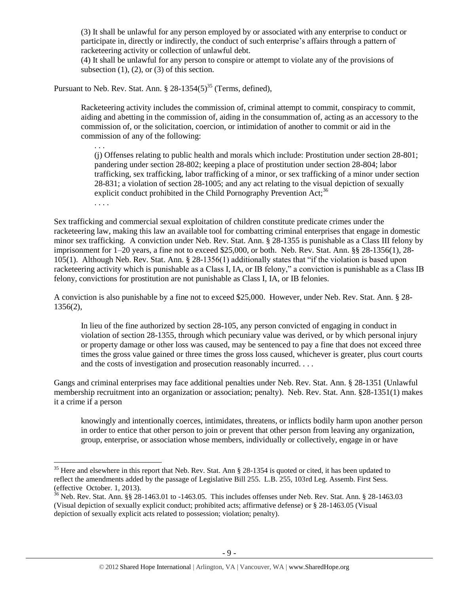(3) It shall be unlawful for any person employed by or associated with any enterprise to conduct or participate in, directly or indirectly, the conduct of such enterprise's affairs through a pattern of racketeering activity or collection of unlawful debt.

(4) It shall be unlawful for any person to conspire or attempt to violate any of the provisions of subsection  $(1)$ ,  $(2)$ , or  $(3)$  of this section.

Pursuant to Neb. Rev. Stat. Ann.  $\S 28-1354(5)^{35}$  (Terms, defined),

. . .

 $\overline{\phantom{a}}$ 

Racketeering activity includes the commission of, criminal attempt to commit, conspiracy to commit, aiding and abetting in the commission of, aiding in the consummation of, acting as an accessory to the commission of, or the solicitation, coercion, or intimidation of another to commit or aid in the commission of any of the following:

(j) Offenses relating to public health and morals which include: Prostitution under section 28-801; pandering under section 28-802; keeping a place of prostitution under section 28-804; labor trafficking, sex trafficking, labor trafficking of a minor, or sex trafficking of a minor under section 28-831; a violation of section 28-1005; and any act relating to the visual depiction of sexually explicit conduct prohibited in the Child Pornography Prevention Act;<sup>36</sup> . . . .

Sex trafficking and commercial sexual exploitation of children constitute predicate crimes under the racketeering law, making this law an available tool for combatting criminal enterprises that engage in domestic minor sex trafficking. A conviction under Neb. Rev. Stat. Ann. § 28-1355 is punishable as a Class III felony by imprisonment for 1–20 years, a fine not to exceed \$25,000, or both. Neb. Rev. Stat. Ann. §§ 28-1356(1), 28- 105(1). Although Neb. Rev. Stat. Ann. § 28-1356(1) additionally states that "if the violation is based upon racketeering activity which is punishable as a Class I, IA, or IB felony," a conviction is punishable as a Class IB felony, convictions for prostitution are not punishable as Class I, IA, or IB felonies.

A conviction is also punishable by a fine not to exceed \$25,000. However, under Neb. Rev. Stat. Ann. § 28- 1356(2),

In lieu of the fine authorized by section 28-105, any person convicted of engaging in conduct in violation of section 28-1355, through which pecuniary value was derived, or by which personal injury or property damage or other loss was caused, may be sentenced to pay a fine that does not exceed three times the gross value gained or three times the gross loss caused, whichever is greater, plus court courts and the costs of investigation and prosecution reasonably incurred. . . .

Gangs and criminal enterprises may face additional penalties under Neb. Rev. Stat. Ann. § 28-1351 (Unlawful membership recruitment into an organization or association; penalty). Neb. Rev. Stat. Ann. §28-1351(1) makes it a crime if a person

knowingly and intentionally coerces, intimidates, threatens, or inflicts bodily harm upon another person in order to entice that other person to join or prevent that other person from leaving any organization, group, enterprise, or association whose members, individually or collectively, engage in or have

<sup>&</sup>lt;sup>35</sup> Here and elsewhere in this report that Neb. Rev. Stat. Ann  $\S$  28-1354 is quoted or cited, it has been updated to reflect the amendments added by the passage of Legislative Bill 255. L.B. 255, 103rd Leg. Assemb. First Sess. (effective October. 1, 2013).

 $36$  Neb. Rev. Stat. Ann. §§ 28-1463.01 to -1463.05. This includes offenses under Neb. Rev. Stat. Ann. § 28-1463.03 (Visual depiction of sexually explicit conduct; prohibited acts; affirmative defense) or § 28-1463.05 (Visual depiction of sexually explicit acts related to possession; violation; penalty).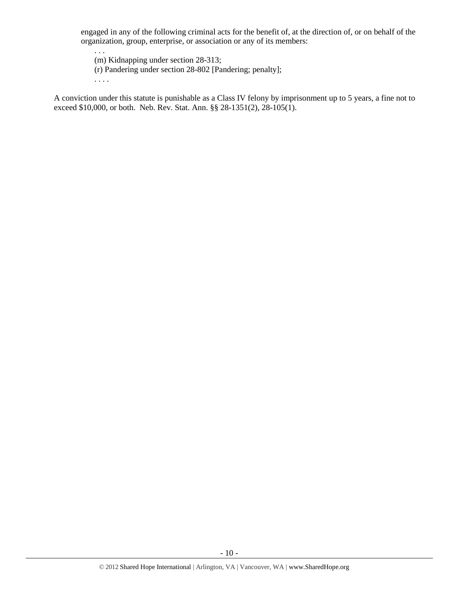engaged in any of the following criminal acts for the benefit of, at the direction of, or on behalf of the organization, group, enterprise, or association or any of its members:

. . . (m) Kidnapping under section 28-313; (r) Pandering under section 28-802 [Pandering; penalty]; . . . .

A conviction under this statute is punishable as a Class IV felony by imprisonment up to 5 years, a fine not to exceed \$10,000, or both. Neb. Rev. Stat. Ann. §§ 28-1351(2), 28-105(1).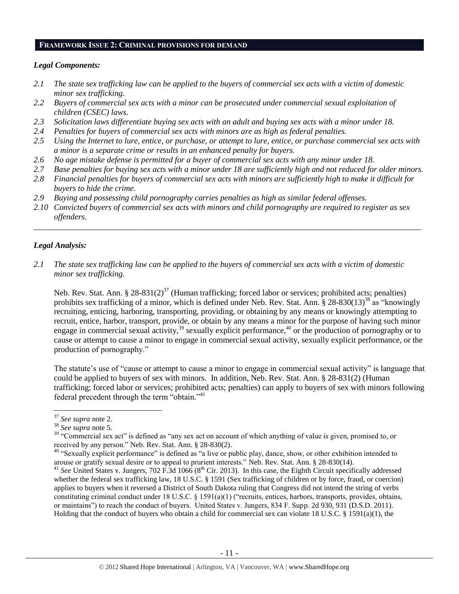#### **FRAMEWORK ISSUE 2: CRIMINAL PROVISIONS FOR DEMAND**

#### *Legal Components:*

- *2.1 The state sex trafficking law can be applied to the buyers of commercial sex acts with a victim of domestic minor sex trafficking.*
- *2.2 Buyers of commercial sex acts with a minor can be prosecuted under commercial sexual exploitation of children (CSEC) laws.*
- *2.3 Solicitation laws differentiate buying sex acts with an adult and buying sex acts with a minor under 18.*
- *2.4 Penalties for buyers of commercial sex acts with minors are as high as federal penalties.*
- *2.5 Using the Internet to lure, entice, or purchase, or attempt to lure, entice, or purchase commercial sex acts with a minor is a separate crime or results in an enhanced penalty for buyers.*
- *2.6 No age mistake defense is permitted for a buyer of commercial sex acts with any minor under 18.*
- *2.7 Base penalties for buying sex acts with a minor under 18 are sufficiently high and not reduced for older minors.*
- *2.8 Financial penalties for buyers of commercial sex acts with minors are sufficiently high to make it difficult for buyers to hide the crime.*
- *2.9 Buying and possessing child pornography carries penalties as high as similar federal offenses.*
- *2.10 Convicted buyers of commercial sex acts with minors and child pornography are required to register as sex offenders.*

\_\_\_\_\_\_\_\_\_\_\_\_\_\_\_\_\_\_\_\_\_\_\_\_\_\_\_\_\_\_\_\_\_\_\_\_\_\_\_\_\_\_\_\_\_\_\_\_\_\_\_\_\_\_\_\_\_\_\_\_\_\_\_\_\_\_\_\_\_\_\_\_\_\_\_\_\_\_\_\_\_\_\_\_\_\_\_\_\_\_\_\_\_\_

#### *Legal Analysis:*

*2.1 The state sex trafficking law can be applied to the buyers of commercial sex acts with a victim of domestic minor sex trafficking.*

Neb. Rev. Stat. Ann. § 28-831(2)<sup>37</sup> (Human trafficking; forced labor or services; prohibited acts; penalties) prohibits sex trafficking of a minor, which is defined under Neb. Rev. Stat. Ann. § 28-830(13)<sup>38</sup> as "knowingly recruiting, enticing, harboring, transporting, providing, or obtaining by any means or knowingly attempting to recruit, entice, harbor, transport, provide, or obtain by any means a minor for the purpose of having such minor engage in commercial sexual activity,  $39$  sexually explicit performance,  $40$  or the production of pornography or to cause or attempt to cause a minor to engage in commercial sexual activity, sexually explicit performance, or the production of pornography."

The statute's use of "cause or attempt to cause a minor to engage in commercial sexual activity" is language that could be applied to buyers of sex with minors. In addition, Neb. Rev. Stat. Ann. § 28-831(2) (Human trafficking; forced labor or services; prohibited acts; penalties) can apply to buyers of sex with minors following federal precedent through the term "obtain."<sup>41</sup>

 $\overline{\phantom{a}}$ 

<sup>37</sup> *See supra* note [2.](#page-2-1)

<sup>38</sup> *See supra* note [5.](#page-1-0)

<sup>&</sup>lt;sup>39</sup> "Commercial sex act" is defined as "any sex act on account of which anything of value is given, promised to, or received by any person." Neb. Rev. Stat. Ann. § 28-830(2).

<sup>&</sup>lt;sup>40</sup> "Sexually explicit performance" is defined as "a live or public play, dance, show, or other exhibition intended to arouse or gratify sexual desire or to appeal to prurient interests." Neb. Rev. Stat. Ann. § 28-830(14).

 $^{41}$  *See* United States v. Jungers, 702 F.3d 1066 (8<sup>th</sup> Cir. 2013). In this case, the Eighth Circuit specifically addressed whether the federal sex trafficking law, 18 U.S.C. § 1591 (Sex trafficking of children or by force, fraud, or coercion) applies to buyers when it reversed a District of South Dakota ruling that Congress did not intend the string of verbs constituting criminal conduct under 18 U.S.C. § 1591(a)(1) ("recruits, entices, harbors, transports, provides, obtains, or maintains") to reach the conduct of buyers. United States v. Jungers, 834 F. Supp. 2d 930, 931 (D.S.D. 2011). Holding that the conduct of buyers who obtain a child for commercial sex can violate 18 U.S.C. § 1591(a)(1), the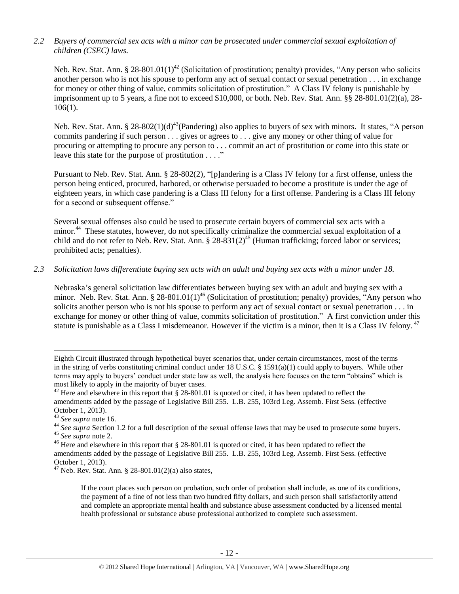## *2.2 Buyers of commercial sex acts with a minor can be prosecuted under commercial sexual exploitation of children (CSEC) laws.*

Neb. Rev. Stat. Ann. § 28-801.01(1)<sup>42</sup> (Solicitation of prostitution; penalty) provides, "Any person who solicits another person who is not his spouse to perform any act of sexual contact or sexual penetration . . . in exchange for money or other thing of value, commits solicitation of prostitution." A Class IV felony is punishable by imprisonment up to 5 years, a fine not to exceed \$10,000, or both. Neb. Rev. Stat. Ann. §§ 28-801.01(2)(a), 28- 106(1).

Neb. Rev. Stat. Ann. § 28-802(1)(d)<sup>43</sup>(Pandering) also applies to buyers of sex with minors. It states, "A person commits pandering if such person . . . gives or agrees to . . . give any money or other thing of value for procuring or attempting to procure any person to . . . commit an act of prostitution or come into this state or leave this state for the purpose of prostitution . . . ."

Pursuant to Neb. Rev. Stat. Ann. § 28-802(2), "[p]andering is a Class IV felony for a first offense, unless the person being enticed, procured, harbored, or otherwise persuaded to become a prostitute is under the age of eighteen years, in which case pandering is a Class III felony for a first offense. Pandering is a Class III felony for a second or subsequent offense."

Several sexual offenses also could be used to prosecute certain buyers of commercial sex acts with a minor.<sup>44</sup> These statutes, however, do not specifically criminalize the commercial sexual exploitation of a child and do not refer to Neb. Rev. Stat. Ann.  $\S 28-831(2)^{45}$  (Human trafficking; forced labor or services; prohibited acts; penalties).

#### *2.3 Solicitation laws differentiate buying sex acts with an adult and buying sex acts with a minor under 18.*

<span id="page-11-0"></span>Nebraska's general solicitation law differentiates between buying sex with an adult and buying sex with a minor. Neb. Rev. Stat. Ann. § 28-801.01(1)<sup>46</sup> (Solicitation of prostitution; penalty) provides, "Any person who solicits another person who is not his spouse to perform any act of sexual contact or sexual penetration . . . in exchange for money or other thing of value, commits solicitation of prostitution." A first conviction under this statute is punishable as a Class I misdemeanor. However if the victim is a minor, then it is a Class IV felony.<sup>47</sup>

<span id="page-11-1"></span> $\overline{\phantom{a}}$ 

Eighth Circuit illustrated through hypothetical buyer scenarios that, under certain circumstances, most of the terms in the string of verbs constituting criminal conduct under 18 U.S.C. § 1591(a)(1) could apply to buyers. While other terms may apply to buyers' conduct under state law as well, the analysis here focuses on the term "obtains" which is most likely to apply in the majority of buyer cases.

<sup>&</sup>lt;sup>42</sup> Here and elsewhere in this report that § 28-801.01 is quoted or cited, it has been updated to reflect the amendments added by the passage of Legislative Bill 255. L.B. 255, 103rd Leg. Assemb. First Sess. (effective October 1, 2013).

<sup>43</sup> *See supra* note [16.](#page-3-1)

<sup>&</sup>lt;sup>44</sup> See supra Section 1.2 for a full description of the sexual offense laws that may be used to prosecute some buyers. <sup>45</sup> *See supra* note [2.](#page-2-1)

<sup>&</sup>lt;sup>46</sup> Here and elsewhere in this report that § 28-801.01 is quoted or cited, it has been updated to reflect the amendments added by the passage of Legislative Bill 255. L.B. 255, 103rd Leg. Assemb. First Sess. (effective October 1, 2013).

<sup>&</sup>lt;sup>47</sup> Neb. Rev. Stat. Ann. § 28-801.01(2)(a) also states,

If the court places such person on probation, such order of probation shall include, as one of its conditions, the payment of a fine of not less than two hundred fifty dollars, and such person shall satisfactorily attend and complete an appropriate mental health and substance abuse assessment conducted by a licensed mental health professional or substance abuse professional authorized to complete such assessment.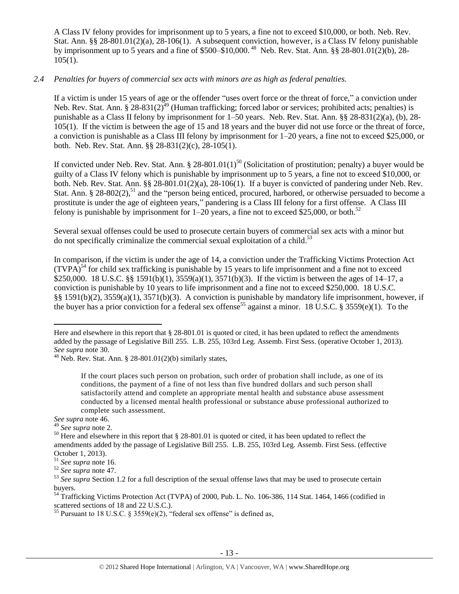A Class IV felony provides for imprisonment up to 5 years, a fine not to exceed \$10,000, or both. Neb. Rev. Stat. Ann. §§ 28-801.01(2)(a), 28-106(1). A subsequent conviction, however, is a Class IV felony punishable by imprisonment up to 5 years and a fine of \$500–\$10,000.<sup>48</sup> Neb. Rev. Stat. Ann. §§ 28-801.01(2)(b), 28- $105(1)$ .

#### *2.4 Penalties for buyers of commercial sex acts with minors are as high as federal penalties.*

If a victim is under 15 years of age or the offender "uses overt force or the threat of force," a conviction under Neb. Rev. Stat. Ann.  $\S 28-831(2)^{49}$  (Human trafficking; forced labor or services; prohibited acts; penalties) is punishable as a Class II felony by imprisonment for 1–50 years. Neb. Rev. Stat. Ann. §§ 28-831(2)(a), (b), 28- 105(1). If the victim is between the age of 15 and 18 years and the buyer did not use force or the threat of force, a conviction is punishable as a Class III felony by imprisonment for 1–20 years, a fine not to exceed \$25,000, or both. Neb. Rev. Stat. Ann. §§ 28-831(2)(c), 28-105(1).

If convicted under Neb. Rev. Stat. Ann. § 28-801.01(1)<sup>50</sup> (Solicitation of prostitution; penalty) a buyer would be guilty of a Class IV felony which is punishable by imprisonment up to 5 years, a fine not to exceed \$10,000, or both. Neb. Rev. Stat. Ann. §§ 28-801.01(2)(a), 28-106(1). If a buyer is convicted of pandering under Neb. Rev. Stat. Ann. § 28-802(2),<sup>51</sup> and the "person being enticed, procured, harbored, or otherwise persuaded to become a prostitute is under the age of eighteen years," pandering is a Class III felony for a first offense. A Class III felony is punishable by imprisonment for  $1-20$  years, a fine not to exceed \$25,000, or both.<sup>52</sup>

Several sexual offenses could be used to prosecute certain buyers of commercial sex acts with a minor but do not specifically criminalize the commercial sexual exploitation of a child.<sup>53</sup>

<span id="page-12-0"></span>In comparison, if the victim is under the age of 14, a conviction under the Trafficking Victims Protection Act  $(TVPA)<sup>54</sup>$  for child sex trafficking is punishable by 15 years to life imprisonment and a fine not to exceed \$250,000. 18 U.S.C. §§ 1591(b)(1), 3559(a)(1), 3571(b)(3). If the victim is between the ages of 14–17, a conviction is punishable by 10 years to life imprisonment and a fine not to exceed \$250,000. 18 U.S.C. §§ 1591(b)(2), 3559(a)(1), 3571(b)(3). A conviction is punishable by mandatory life imprisonment, however, if the buyer has a prior conviction for a federal sex offense<sup>55</sup> against a minor. 18 U.S.C. § 3559(e)(1). To the

 $48$  Neb. Rev. Stat. Ann. § 28-801.01(2)(b) similarly states,

<span id="page-12-1"></span>If the court places such person on probation, such order of probation shall include, as one of its conditions, the payment of a fine of not less than five hundred dollars and such person shall satisfactorily attend and complete an appropriate mental health and substance abuse assessment conducted by a licensed mental health professional or substance abuse professional authorized to complete such assessment.

*See supra* note [46.](#page-11-0)

 $\overline{\phantom{a}}$ 

<sup>54</sup> Trafficking Victims Protection Act (TVPA) of 2000, Pub. L. No. 106-386, 114 Stat. 1464, 1466 (codified in scattered sections of 18 and 22 U.S.C.).

Here and elsewhere in this report that  $\S 28-801.01$  is quoted or cited, it has been updated to reflect the amendments added by the passage of Legislative Bill 255. L.B. 255, 103rd Leg. Assemb. First Sess. (operative October 1, 2013). *See supra* note [30.](#page-7-0)

<sup>49</sup> *See supra* note [2.](#page-2-1)

<sup>&</sup>lt;sup>50</sup> Here and elsewhere in this report that § 28-801.01 is quoted or cited, it has been updated to reflect the amendments added by the passage of Legislative Bill 255. L.B. 255, 103rd Leg. Assemb. First Sess. (effective October 1, 2013).

<sup>51</sup> *See supra* note [16.](#page-3-1)

<sup>52</sup> *See supra* note [47.](#page-11-1)

<sup>&</sup>lt;sup>53</sup> See supra Section 1.2 for a full description of the sexual offense laws that may be used to prosecute certain buyers.

<sup>&</sup>lt;sup>55</sup> Pursuant to 18 U.S.C. § 3559(e)(2), "federal sex offense" is defined as,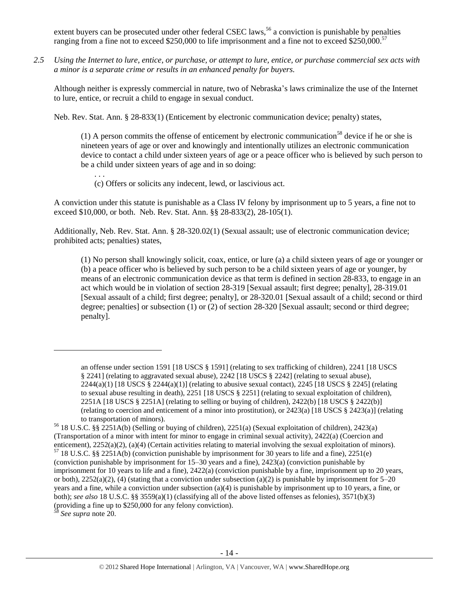extent buyers can be prosecuted under other federal CSEC laws,<sup>56</sup> a conviction is punishable by penalties ranging from a fine not to exceed \$250,000 to life imprisonment and a fine not to exceed \$250,000.<sup>57</sup>

*2.5 Using the Internet to lure, entice, or purchase, or attempt to lure, entice, or purchase commercial sex acts with a minor is a separate crime or results in an enhanced penalty for buyers.*

Although neither is expressly commercial in nature, two of Nebraska's laws criminalize the use of the Internet to lure, entice, or recruit a child to engage in sexual conduct.

Neb. Rev. Stat. Ann. § 28-833(1) (Enticement by electronic communication device; penalty) states,

(1) A person commits the offense of enticement by electronic communication<sup>58</sup> device if he or she is nineteen years of age or over and knowingly and intentionally utilizes an electronic communication device to contact a child under sixteen years of age or a peace officer who is believed by such person to be a child under sixteen years of age and in so doing:

. . . (c) Offers or solicits any indecent, lewd, or lascivious act.

A conviction under this statute is punishable as a Class IV felony by imprisonment up to 5 years, a fine not to exceed \$10,000, or both. Neb. Rev. Stat. Ann. §§ 28-833(2), 28-105(1).

Additionally, Neb. Rev. Stat. Ann. § 28-320.02(1) (Sexual assault; use of electronic communication device; prohibited acts; penalties) states,

(1) No person shall knowingly solicit, coax, entice, or lure (a) a child sixteen years of age or younger or (b) a peace officer who is believed by such person to be a child sixteen years of age or younger, by means of an electronic communication device as that term is defined in section 28-833, to engage in an act which would be in violation of section [28-319](http://nebraskalegislature.gov/laws/statutes.php?statute=28-319) [Sexual assault; first degree; penalty][, 28-319.01](http://nebraskalegislature.gov/laws/statutes.php?statute=28-319.01) [Sexual assault of a child; first degree; penalty], or [28-320.01](http://nebraskalegislature.gov/laws/statutes.php?statute=28-320.01) [Sexual assault of a child; second or third degree; penalties] or subsection (1) or (2) of section [28-320](http://nebraskalegislature.gov/laws/statutes.php?statute=28-320) [Sexual assault; second or third degree; penalty].

*<sup>58</sup> See supra* note [20.](#page-4-0) 

 $\overline{\phantom{a}}$ 

an offense under section 1591 [18 USCS § 1591] (relating to sex trafficking of children), 2241 [18 USCS § 2241] (relating to aggravated sexual abuse), 2242 [18 USCS § 2242] (relating to sexual abuse),  $2244(a)(1)$  [18 USCS §  $2244(a)(1)$ ] (relating to abusive sexual contact),  $2245$  [18 USCS § 2245] (relating to sexual abuse resulting in death), 2251 [18 USCS § 2251] (relating to sexual exploitation of children), 2251A [18 USCS § 2251A] (relating to selling or buying of children), 2422(b) [18 USCS § 2422(b)] (relating to coercion and enticement of a minor into prostitution), or 2423(a) [18 USCS § 2423(a)] (relating to transportation of minors).

<sup>56</sup> 18 U.S.C. §§ 2251A(b) (Selling or buying of children), 2251(a) (Sexual exploitation of children), 2423(a) (Transportation of a minor with intent for minor to engage in criminal sexual activity), 2422(a) (Coercion and enticement), 2252(a)(2), (a)(4) (Certain activities relating to material involving the sexual exploitation of minors).

 $57$  18 U.S.C. §§ 2251A(b) (conviction punishable by imprisonment for 30 years to life and a fine), 2251(e) (conviction punishable by imprisonment for 15–30 years and a fine), 2423(a) (conviction punishable by imprisonment for 10 years to life and a fine), 2422(a) (conviction punishable by a fine, imprisonment up to 20 years, or both),  $2252(a)(2)$ , (4) (stating that a conviction under subsection (a)(2) is punishable by imprisonment for 5–20 years and a fine, while a conviction under subsection (a)(4) is punishable by imprisonment up to 10 years, a fine, or both); *see also* 18 U.S.C. §§ 3559(a)(1) (classifying all of the above listed offenses as felonies), 3571(b)(3) (providing a fine up to \$250,000 for any felony conviction).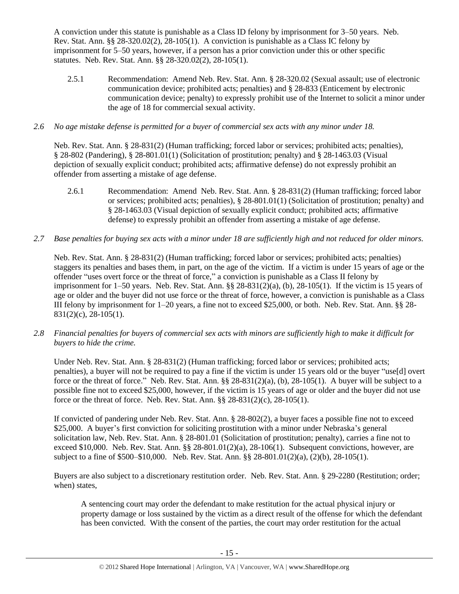A conviction under this statute is punishable as a Class ID felony by imprisonment for 3–50 years. Neb. Rev. Stat. Ann. §§ 28-320.02(2), 28-105(1). A conviction is punishable as a Class IC felony by imprisonment for 5–50 years, however, if a person has a prior conviction under this or other specific statutes. Neb. Rev. Stat. Ann. §§ 28-320.02(2), 28-105(1).

2.5.1 Recommendation: Amend Neb. Rev. Stat. Ann. § 28-320.02 (Sexual assault; use of electronic communication device; prohibited acts; penalties) and § 28-833 (Enticement by electronic communication device; penalty) to expressly prohibit use of the Internet to solicit a minor under the age of 18 for commercial sexual activity.

## *2.6 No age mistake defense is permitted for a buyer of commercial sex acts with any minor under 18.*

Neb. Rev. Stat. Ann. § 28-831(2) (Human trafficking; forced labor or services; prohibited acts; penalties), § 28-802 (Pandering), § 28-801.01(1) (Solicitation of prostitution; penalty) and § 28-1463.03 (Visual depiction of sexually explicit conduct; prohibited acts; affirmative defense) do not expressly prohibit an offender from asserting a mistake of age defense.

2.6.1 Recommendation: Amend Neb. Rev. Stat. Ann. § 28-831(2) (Human trafficking; forced labor or services; prohibited acts; penalties), § 28-801.01(1) (Solicitation of prostitution; penalty) and § 28-1463.03 (Visual depiction of sexually explicit conduct; prohibited acts; affirmative defense) to expressly prohibit an offender from asserting a mistake of age defense.

## *2.7 Base penalties for buying sex acts with a minor under 18 are sufficiently high and not reduced for older minors.*

Neb. Rev. Stat. Ann. § 28-831(2) (Human trafficking; forced labor or services; prohibited acts; penalties) staggers its penalties and bases them, in part, on the age of the victim. If a victim is under 15 years of age or the offender "uses overt force or the threat of force," a conviction is punishable as a Class II felony by imprisonment for 1–50 years. Neb. Rev. Stat. Ann. §§ 28-831(2)(a), (b), 28-105(1). If the victim is 15 years of age or older and the buyer did not use force or the threat of force, however, a conviction is punishable as a Class III felony by imprisonment for 1–20 years, a fine not to exceed \$25,000, or both. Neb. Rev. Stat. Ann. §§ 28- 831(2)(c), 28-105(1).

*2.8 Financial penalties for buyers of commercial sex acts with minors are sufficiently high to make it difficult for buyers to hide the crime.* 

Under Neb. Rev. Stat. Ann. § 28-831(2) (Human trafficking; forced labor or services; prohibited acts; penalties), a buyer will not be required to pay a fine if the victim is under 15 years old or the buyer "use[d] overt force or the threat of force." Neb. Rev. Stat. Ann. §§ 28-831(2)(a), (b), 28-105(1). A buyer will be subject to a possible fine not to exceed \$25,000, however, if the victim is 15 years of age or older and the buyer did not use force or the threat of force. Neb. Rev. Stat. Ann. §§ 28-831(2)(c), 28-105(1).

If convicted of pandering under Neb. Rev. Stat. Ann. § 28-802(2), a buyer faces a possible fine not to exceed \$25,000. A buyer's first conviction for soliciting prostitution with a minor under Nebraska's general solicitation law, Neb. Rev. Stat. Ann. § 28-801.01 (Solicitation of prostitution; penalty), carries a fine not to exceed \$10,000. Neb. Rev. Stat. Ann. §§ 28-801.01(2)(a), 28-106(1). Subsequent convictions, however, are subject to a fine of \$500–\$10,000. Neb. Rev. Stat. Ann. §§ 28-801.01(2)(a), (2)(b), 28-105(1).

Buyers are also subject to a discretionary restitution order. Neb. Rev. Stat. Ann. § 29-2280 (Restitution; order; when) states,

A sentencing court may order the defendant to make restitution for the actual physical injury or property damage or loss sustained by the victim as a direct result of the offense for which the defendant has been convicted. With the consent of the parties, the court may order restitution for the actual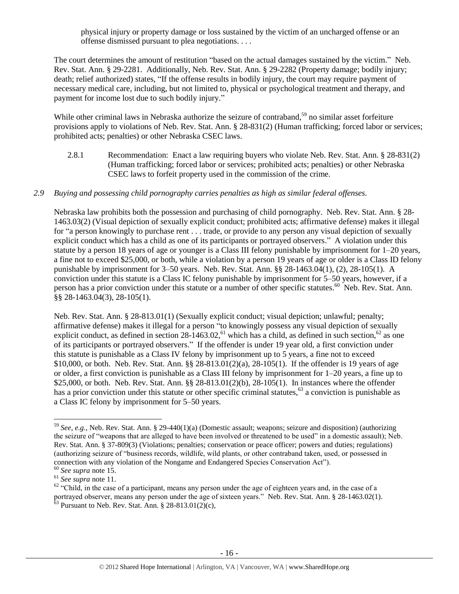physical injury or property damage or loss sustained by the victim of an uncharged offense or an offense dismissed pursuant to plea negotiations. . . .

The court determines the amount of restitution "based on the actual damages sustained by the victim." Neb. Rev. Stat. Ann. § 29-2281. Additionally, Neb. Rev. Stat. Ann. § 29-2282 (Property damage; bodily injury; death; relief authorized) states, "If the offense results in bodily injury, the court may require payment of necessary medical care, including, but not limited to, physical or psychological treatment and therapy, and payment for income lost due to such bodily injury."

While other criminal laws in Nebraska authorize the seizure of contraband,<sup>59</sup> no similar asset forfeiture provisions apply to violations of Neb. Rev. Stat. Ann. § 28-831(2) (Human trafficking; forced labor or services; prohibited acts; penalties) or other Nebraska CSEC laws.

<span id="page-15-0"></span>2.8.1 Recommendation: Enact a law requiring buyers who violate Neb. Rev. Stat. Ann. § 28-831(2) (Human trafficking; forced labor or services; prohibited acts; penalties) or other Nebraska CSEC laws to forfeit property used in the commission of the crime.

## *2.9 Buying and possessing child pornography carries penalties as high as similar federal offenses.*

Nebraska law prohibits both the possession and purchasing of child pornography. Neb. Rev. Stat. Ann. § 28- 1463.03(2) (Visual depiction of sexually explicit conduct; prohibited acts; affirmative defense) makes it illegal for "a person knowingly to purchase rent . . . trade, or provide to any person any visual depiction of sexually explicit conduct which has a child as one of its participants or portrayed observers." A violation under this statute by a person 18 years of age or younger is a Class III felony punishable by imprisonment for 1–20 years, a fine not to exceed \$25,000, or both, while a violation by a person 19 years of age or older is a Class ID felony punishable by imprisonment for 3–50 years. Neb. Rev. Stat. Ann. §§ 28-1463.04(1), (2), 28-105(1). A conviction under this statute is a Class IC felony punishable by imprisonment for 5–50 years, however, if a person has a prior conviction under this statute or a number of other specific statutes.<sup>60</sup> Neb. Rev. Stat. Ann. §§ 28-1463.04(3), 28-105(1).

Neb. Rev. Stat. Ann. § 28-813.01(1) (Sexually explicit conduct; visual depiction; unlawful; penalty; affirmative defense) makes it illegal for a person "to knowingly possess any visual depiction of sexually explicit conduct, as defined in section  $28-1463.02$ ,<sup>61</sup> which has a child, as defined in such section,<sup>62</sup> as one of its participants or portrayed observers." If the offender is under 19 year old, a first conviction under this statute is punishable as a Class IV felony by imprisonment up to 5 years, a fine not to exceed \$10,000, or both. Neb. Rev. Stat. Ann. §§ 28-813.01(2)(a), 28-105(1). If the offender is 19 years of age or older, a first conviction is punishable as a Class III felony by imprisonment for 1–20 years, a fine up to \$25,000, or both. Neb. Rev. Stat. Ann. §§ 28-813.01(2)(b), 28-105(1). In instances where the offender has a prior conviction under this statute or other specific criminal statutes,<sup>63</sup> a conviction is punishable as a Class IC felony by imprisonment for 5–50 years.

 $\overline{a}$ 

<sup>59</sup> *See, e.g.*, Neb. Rev. Stat. Ann. § 29-440(1)(a) (Domestic assault; weapons; seizure and disposition) (authorizing the seizure of "weapons that are alleged to have been involved or threatened to be used" in a domestic assault); Neb. Rev. Stat. Ann. § 37-809(3) (Violations; penalties; conservation or peace officer; powers and duties; regulations) (authorizing seizure of "business records, wildlife, wild plants, or other contraband taken, used, or possessed in connection with any violation of the Nongame and Endangered Species Conservation Act").

<sup>60</sup> *See supra* note [15.](#page-3-2)

<sup>61</sup> *See supra* note [11.](#page-2-0) 

 $62$  "Child, in the case of a participant, means any person under the age of eighteen years and, in the case of a portrayed observer, means any person under the age of sixteen years." Neb. Rev. Stat. Ann. § 28-1463.02(1).

 $63$  Pursuant to Neb. Rev. Stat. Ann. § 28-813.01(2)(c),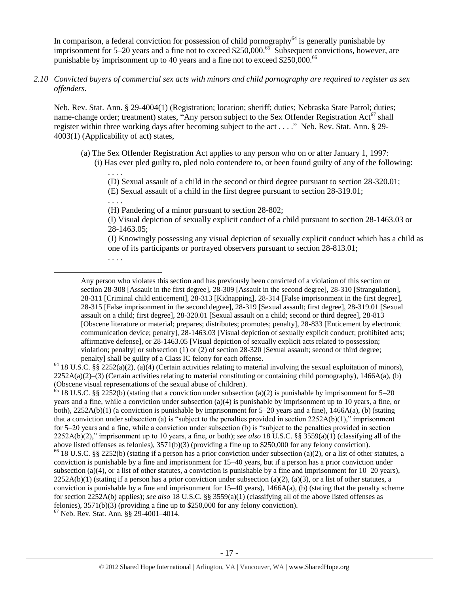In comparison, a federal conviction for possession of child pornography $^{64}$  is generally punishable by imprisonment for 5–20 years and a fine not to exceed \$250,000.<sup>65</sup> Subsequent convictions, however, are punishable by imprisonment up to 40 years and a fine not to exceed \$250,000.<sup>66</sup>

*2.10 Convicted buyers of commercial sex acts with minors and child pornography are required to register as sex offenders.* 

Neb. Rev. Stat. Ann. § 29-4004(1) (Registration; location; sheriff; duties; Nebraska State Patrol; duties; name-change order; treatment) states, "Any person subject to the Sex Offender Registration Act<sup>67</sup> shall register within three working days after becoming subject to the act . . . ." Neb. Rev. Stat. Ann. § 29- 4003(1) (Applicability of act) states,

(a) The Sex Offender Registration Act applies to any person who on or after January 1, 1997: (i) Has ever pled guilty to, pled nolo contendere to, or been found guilty of any of the following:

<span id="page-16-0"></span>. . . . (D) Sexual assault of a child in the second or third degree pursuant to section 28-320.01; (E) Sexual assault of a child in the first degree pursuant to section 28-319.01;

. . . . (H) Pandering of a minor pursuant to section 28-802;

(I) Visual depiction of sexually explicit conduct of a child pursuant to section 28-1463.03 or 28-1463.05;

(J) Knowingly possessing any visual depiction of sexually explicit conduct which has a child as one of its participants or portrayed observers pursuant to section 28-813.01;

. . . .

 $\overline{\phantom{a}}$ 

 $64$  18 U.S.C. §§ 2252(a)(2), (a)(4) (Certain activities relating to material involving the sexual exploitation of minors),  $2252A(a)(2)$ –(3) (Certain activities relating to material constituting or containing child pornography), 1466A(a), (b) (Obscene visual representations of the sexual abuse of children).

<sup>65</sup> 18 U.S.C. §§ 2252(b) (stating that a conviction under subsection (a)(2) is punishable by imprisonment for 5–20 years and a fine, while a conviction under subsection (a)(4) is punishable by imprisonment up to 10 years, a fine, or both), 2252A(b)(1) (a conviction is punishable by imprisonment for 5–20 years and a fine), 1466A(a), (b) (stating that a conviction under subsection (a) is "subject to the penalties provided in section  $2252A(b)(1)$ ," imprisonment for 5–20 years and a fine, while a conviction under subsection (b) is "subject to the penalties provided in section 2252A(b)(2)," imprisonment up to 10 years, a fine, or both); *see also* 18 U.S.C. §§ 3559(a)(1) (classifying all of the above listed offenses as felonies), 3571(b)(3) (providing a fine up to \$250,000 for any felony conviction). <sup>66</sup> 18 U.S.C. §§ 2252(b) (stating if a person has a prior conviction under subsection (a)(2), or a list of other statutes, a conviction is punishable by a fine and imprisonment for 15–40 years, but if a person has a prior conviction under subsection (a)(4), or a list of other statutes, a conviction is punishable by a fine and imprisonment for  $10-20$  years),  $2252A(b)(1)$  (stating if a person has a prior conviction under subsection (a)(2), (a)(3), or a list of other statutes, a conviction is punishable by a fine and imprisonment for  $15-40$  years),  $1466A(a)$ , (b) (stating that the penalty scheme for section 2252A(b) applies); *see also* 18 U.S.C. §§ 3559(a)(1) (classifying all of the above listed offenses as

felonies), 3571(b)(3) (providing a fine up to \$250,000 for any felony conviction).

<sup>67</sup> Neb. Rev. Stat. Ann. §§ 29-4001–4014.

Any person who violates this section and has previously been convicted of a violation of this section or section 28-308 [Assault in the first degree], 28-309 [Assault in the second degree], 28-310 [Strangulation], 28-311 [Criminal child enticement], 28-313 [Kidnapping], 28-314 [False imprisonment in the first degree], 28-315 [False imprisonment in the second degree], 28-319 [Sexual assault; first degree], 28-319.01 [Sexual assault on a child; first degree], 28-320.01 [Sexual assault on a child; second or third degree], 28-813 [Obscene literature or material; prepares; distributes; promotes; penalty], 28-833 [Enticement by electronic communication device; penalty], 28-1463.03 [Visual depiction of sexually explicit conduct; prohibited acts; affirmative defense], or 28-1463.05 [Visual depiction of sexually explicit acts related to possession; violation; penalty] or subsection (1) or (2) of section 28-320 [Sexual assault; second or third degree; penalty] shall be guilty of a Class IC felony for each offense.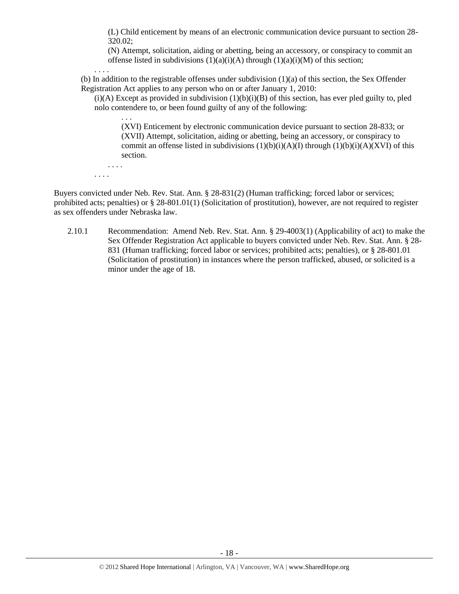(L) Child enticement by means of an electronic communication device pursuant to section 28- 320.02;

(N) Attempt, solicitation, aiding or abetting, being an accessory, or conspiracy to commit an offense listed in subdivisions  $(1)(a)(i)(A)$  through  $(1)(a)(i)(M)$  of this section;

. . . .

(b) In addition to the registrable offenses under subdivision  $(1)(a)$  of this section, the Sex Offender Registration Act applies to any person who on or after January 1, 2010:

 $(i)(A)$  Except as provided in subdivision  $(1)(b)(i)(B)$  of this section, has ever pled guilty to, pled nolo contendere to, or been found guilty of any of the following:

(XVI) Enticement by electronic communication device pursuant to section 28-833; or (XVII) Attempt, solicitation, aiding or abetting, being an accessory, or conspiracy to commit an offense listed in subdivisions  $(1)(b)(i)(A)(I)$  through  $(1)(b)(i)(A)(XVI)$  of this section.

. . . . . . . .

. . .

Buyers convicted under Neb. Rev. Stat. Ann. § 28-831(2) (Human trafficking; forced labor or services; prohibited acts; penalties) or § 28-801.01(1) (Solicitation of prostitution), however, are not required to register as sex offenders under Nebraska law.

2.10.1 Recommendation: Amend Neb. Rev. Stat. Ann. § 29-4003(1) (Applicability of act) to make the Sex Offender Registration Act applicable to buyers convicted under Neb. Rev. Stat. Ann. § 28- 831 (Human trafficking; forced labor or services; prohibited acts; penalties), or § 28-801.01 (Solicitation of prostitution) in instances where the person trafficked, abused, or solicited is a minor under the age of 18.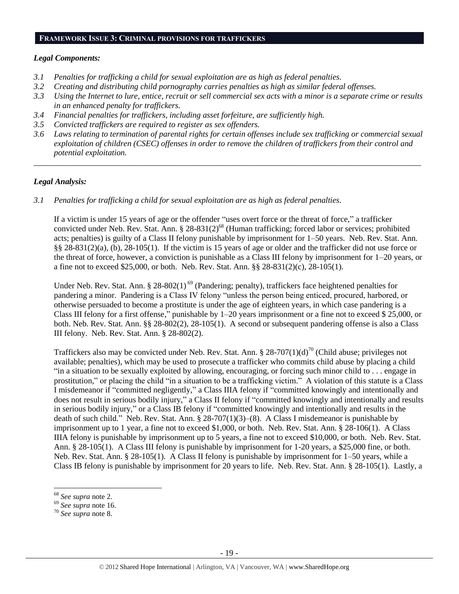#### **FRAMEWORK ISSUE 3: CRIMINAL PROVISIONS FOR TRAFFICKERS**

#### *Legal Components:*

- *3.1 Penalties for trafficking a child for sexual exploitation are as high as federal penalties.*
- *3.2 Creating and distributing child pornography carries penalties as high as similar federal offenses.*
- *3.3 Using the Internet to lure, entice, recruit or sell commercial sex acts with a minor is a separate crime or results in an enhanced penalty for traffickers.*
- *3.4 Financial penalties for traffickers, including asset forfeiture, are sufficiently high.*
- *3.5 Convicted traffickers are required to register as sex offenders.*
- *3.6 Laws relating to termination of parental rights for certain offenses include sex trafficking or commercial sexual exploitation of children (CSEC) offenses in order to remove the children of traffickers from their control and potential exploitation.*

*\_\_\_\_\_\_\_\_\_\_\_\_\_\_\_\_\_\_\_\_\_\_\_\_\_\_\_\_\_\_\_\_\_\_\_\_\_\_\_\_\_\_\_\_\_\_\_\_\_\_\_\_\_\_\_\_\_\_\_\_\_\_\_\_\_\_\_\_\_\_\_\_\_\_\_\_\_\_\_\_\_\_\_\_\_\_\_\_\_\_\_\_\_\_*

## *Legal Analysis:*

*3.1 Penalties for trafficking a child for sexual exploitation are as high as federal penalties.* 

If a victim is under 15 years of age or the offender "uses overt force or the threat of force," a trafficker convicted under Neb. Rev. Stat. Ann. § 28-831(2)<sup>68</sup> (Human trafficking; forced labor or services; prohibited acts; penalties) is guilty of a Class II felony punishable by imprisonment for 1–50 years. Neb. Rev. Stat. Ann. §§ 28-831(2)(a), (b), 28-105(1). If the victim is 15 years of age or older and the trafficker did not use force or the threat of force, however, a conviction is punishable as a Class III felony by imprisonment for 1–20 years, or a fine not to exceed \$25,000, or both. Neb. Rev. Stat. Ann. §§ 28-831(2)(c), 28-105(1).

Under Neb. Rev. Stat. Ann. § 28-802(1)<sup>69</sup> (Pandering; penalty), traffickers face heightened penalties for pandering a minor. Pandering is a Class IV felony "unless the person being enticed, procured, harbored, or otherwise persuaded to become a prostitute is under the age of eighteen years, in which case pandering is a Class III felony for a first offense," punishable by 1–20 years imprisonment or a fine not to exceed \$ 25,000, or both. Neb. Rev. Stat. Ann. §§ 28-802(2), 28-105(1). A second or subsequent pandering offense is also a Class III felony. Neb. Rev. Stat. Ann. § 28-802(2).

Traffickers also may be convicted under Neb. Rev. Stat. Ann. § 28-707(1)(d)<sup>70</sup> (Child abuse; privileges not available; penalties), which may be used to prosecute a trafficker who commits child abuse by placing a child "in a situation to be sexually exploited by allowing, encouraging, or forcing such minor child to . . . engage in prostitution," or placing the child "in a situation to be a trafficking victim." A violation of this statute is a Class I misdemeanor if "committed negligently," a Class IIIA felony if "committed knowingly and intentionally and does not result in serious bodily injury," a Class II felony if "committed knowingly and intentionally and results in serious bodily injury," or a Class IB felony if "committed knowingly and intentionally and results in the death of such child." Neb. Rev. Stat. Ann. § 28-707(1)(3)–(8). A Class I misdemeanor is punishable by imprisonment up to 1 year, a fine not to exceed \$1,000, or both. Neb. Rev. Stat. Ann. § 28-106(1). A Class IIIA felony is punishable by imprisonment up to 5 years, a fine not to exceed \$10,000, or both. Neb. Rev. Stat. Ann. § 28-105(1). A Class III felony is punishable by imprisonment for 1-20 years, a \$25,000 fine, or both. Neb. Rev. Stat. Ann. § 28-105(1). A Class II felony is punishable by imprisonment for 1–50 years, while a Class IB felony is punishable by imprisonment for 20 years to life. Neb. Rev. Stat. Ann. § 28-105(1). Lastly, a

l

<sup>68</sup> *See supra* note [2.](#page-2-1)

<sup>69</sup> *See supra* note [16.](#page-3-1)

<sup>70</sup> *See supra* note [8.](#page-1-1)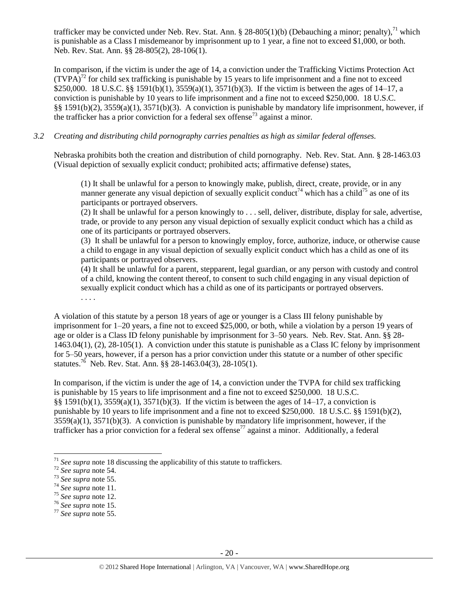trafficker may be convicted under Neb. Rev. Stat. Ann. § 28-805(1)(b) (Debauching a minor; penalty),<sup>71</sup> which is punishable as a Class I misdemeanor by imprisonment up to 1 year, a fine not to exceed \$1,000, or both. Neb. Rev. Stat. Ann. §§ 28-805(2), 28-106(1).

In comparison, if the victim is under the age of 14, a conviction under the Trafficking Victims Protection Act  $(TVPA)<sup>72</sup>$  for child sex trafficking is punishable by 15 years to life imprisonment and a fine not to exceed \$250,000. 18 U.S.C. §§ 1591(b)(1), 3559(a)(1), 3571(b)(3). If the victim is between the ages of 14–17, a conviction is punishable by 10 years to life imprisonment and a fine not to exceed \$250,000. 18 U.S.C. §§ 1591(b)(2), 3559(a)(1), 3571(b)(3). A conviction is punishable by mandatory life imprisonment, however, if the trafficker has a prior conviction for a federal sex offense<sup> $73$ </sup> against a minor.

#### *3.2 Creating and distributing child pornography carries penalties as high as similar federal offenses.*

Nebraska prohibits both the creation and distribution of child pornography. Neb. Rev. Stat. Ann. § 28-1463.03 (Visual depiction of sexually explicit conduct; prohibited acts; affirmative defense) states,

(1) It shall be unlawful for a person to knowingly make, publish, direct, create, provide, or in any manner generate any visual depiction of sexually explicit conduct<sup>74</sup> which has a child<sup>75</sup> as one of its participants or portrayed observers.

(2) It shall be unlawful for a person knowingly to . . . sell, deliver, distribute, display for sale, advertise, trade, or provide to any person any visual depiction of sexually explicit conduct which has a child as one of its participants or portrayed observers.

(3) It shall be unlawful for a person to knowingly employ, force, authorize, induce, or otherwise cause a child to engage in any visual depiction of sexually explicit conduct which has a child as one of its participants or portrayed observers.

(4) It shall be unlawful for a parent, stepparent, legal guardian, or any person with custody and control of a child, knowing the content thereof, to consent to such child engaging in any visual depiction of sexually explicit conduct which has a child as one of its participants or portrayed observers.

. . . .

A violation of this statute by a person 18 years of age or younger is a Class III felony punishable by imprisonment for 1–20 years, a fine not to exceed \$25,000, or both, while a violation by a person 19 years of age or older is a Class ID felony punishable by imprisonment for 3–50 years. Neb. Rev. Stat. Ann. §§ 28- 1463.04(1), (2), 28-105(1). A conviction under this statute is punishable as a Class IC felony by imprisonment for 5–50 years, however, if a person has a prior conviction under this statute or a number of other specific statutes.<sup>76</sup> Neb. Rev. Stat. Ann. §§ 28-1463.04(3), 28-105(1).

In comparison, if the victim is under the age of 14, a conviction under the TVPA for child sex trafficking is punishable by 15 years to life imprisonment and a fine not to exceed \$250,000. 18 U.S.C. §§ 1591(b)(1), 3559(a)(1), 3571(b)(3). If the victim is between the ages of 14–17, a conviction is punishable by 10 years to life imprisonment and a fine not to exceed \$250,000. 18 U.S.C. §§ 1591(b)(2), 3559(a)(1), 3571(b)(3). A conviction is punishable by mandatory life imprisonment, however, if the trafficker has a prior conviction for a federal sex offense<sup>77</sup> against a minor. Additionally, a federal

 $\overline{\phantom{a}}$ 

<sup>71</sup> *See supra* note [18](#page-4-1) discussing the applicability of this statute to traffickers.

<sup>72</sup> *See supra* note [54.](#page-12-0)

<sup>73</sup> *See supra* note [55.](#page-12-1)

<sup>74</sup> *See supra* note [11.](#page-2-0) 

<sup>75</sup> *See supra* note [12.](#page-2-2)

<sup>76</sup> *See supra* note [15.](#page-3-2) 

<sup>77</sup> *See supra* note [55.](#page-12-1)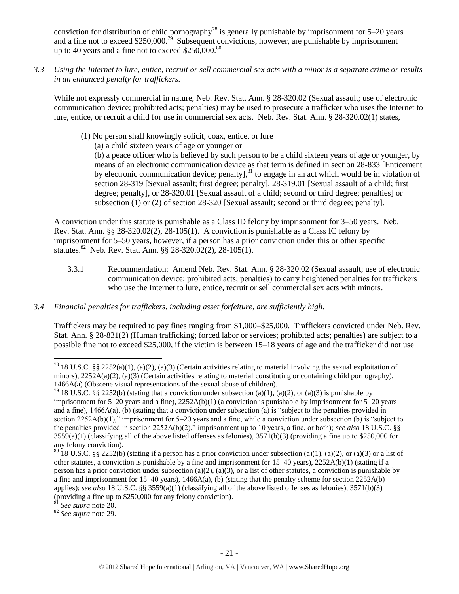conviction for distribution of child pornography<sup>78</sup> is generally punishable by imprisonment for 5–20 years and a fine not to exceed \$250,000.<sup>79</sup> Subsequent convictions, however, are punishable by imprisonment up to 40 years and a fine not to exceed \$250,000.<sup>80</sup>

*3.3 Using the Internet to lure, entice, recruit or sell commercial sex acts with a minor is a separate crime or results in an enhanced penalty for traffickers.*

While not expressly commercial in nature, Neb. Rev. Stat. Ann. § 28-320.02 (Sexual assault; use of electronic communication device; prohibited acts; penalties) may be used to prosecute a trafficker who uses the Internet to lure, entice, or recruit a child for use in commercial sex acts. Neb. Rev. Stat. Ann. § 28-320.02(1) states,

- (1) No person shall knowingly solicit, coax, entice, or lure
	- (a) a child sixteen years of age or younger or

(b) a peace officer who is believed by such person to be a child sixteen years of age or younger, by means of an electronic communication device as that term is defined in section 28-833 [Enticement by electronic communication device; penalty] $^{81}$  to engage in an act which would be in violation of section [28-319](http://nebraskalegislature.gov/laws/statutes.php?statute=28-319) [Sexual assault; first degree; penalty], [28-319.01](http://nebraskalegislature.gov/laws/statutes.php?statute=28-319.01) [Sexual assault of a child; first degree; penalty], or [28-320.01](http://nebraskalegislature.gov/laws/statutes.php?statute=28-320.01) [Sexual assault of a child; second or third degree; penalties] or subsection (1) or (2) of section [28-320](http://nebraskalegislature.gov/laws/statutes.php?statute=28-320) [Sexual assault; second or third degree; penalty].

A conviction under this statute is punishable as a Class ID felony by imprisonment for 3–50 years. Neb. Rev. Stat. Ann. §§ 28-320.02(2), 28-105(1). A conviction is punishable as a Class IC felony by imprisonment for 5–50 years, however, if a person has a prior conviction under this or other specific statutes.<sup>82</sup> Neb. Rev. Stat. Ann. §§ 28-320.02(2), 28-105(1).

- 3.3.1 Recommendation: Amend Neb. Rev. Stat. Ann. § 28-320.02 (Sexual assault; use of electronic communication device; prohibited acts; penalties) to carry heightened penalties for traffickers who use the Internet to lure, entice, recruit or sell commercial sex acts with minors.
- *3.4 Financial penalties for traffickers, including asset forfeiture, are sufficiently high.*

Traffickers may be required to pay fines ranging from \$1,000–\$25,000. Traffickers convicted under Neb. Rev. Stat. Ann. § 28-831(2) (Human trafficking; forced labor or services; prohibited acts; penalties) are subject to a possible fine not to exceed \$25,000, if the victim is between 15–18 years of age and the trafficker did not use

See supra note 20.

 $\overline{\phantom{a}}$ 

<sup>&</sup>lt;sup>78</sup> 18 U.S.C. §§ 2252(a)(1), (a)(2), (a)(3) (Certain activities relating to material involving the sexual exploitation of minors),  $2252A(a)(2)$ , (a)(3) (Certain activities relating to material constituting or containing child pornography), 1466A(a) (Obscene visual representations of the sexual abuse of children).

<sup>&</sup>lt;sup>79</sup> 18 U.S.C. §§ 2252(b) (stating that a conviction under subsection (a)(1), (a)(2), or (a)(3) is punishable by imprisonment for  $5-20$  years and a fine),  $2252A(b)(1)$  (a conviction is punishable by imprisonment for  $5-20$  years and a fine), 1466A(a), (b) (stating that a conviction under subsection (a) is "subject to the penalties provided in section 2252A(b)(1)," imprisonment for 5–20 years and a fine, while a conviction under subsection (b) is "subject to the penalties provided in section 2252A(b)(2)," imprisonment up to 10 years, a fine, or both); *see also* 18 U.S.C. §§  $3559(a)(1)$  (classifying all of the above listed offenses as felonies),  $3571(b)(3)$  (providing a fine up to \$250,000 for any felony conviction).

 $80$  18 U.S.C. §§ 2252(b) (stating if a person has a prior conviction under subsection (a)(1), (a)(2), or (a)(3) or a list of other statutes, a conviction is punishable by a fine and imprisonment for 15–40 years), 2252A(b)(1) (stating if a person has a prior conviction under subsection (a)(2), (a)(3), or a list of other statutes, a conviction is punishable by a fine and imprisonment for  $15-40$  years),  $1466A(a)$ , (b) (stating that the penalty scheme for section  $2252A(b)$ applies); *see also* 18 U.S.C. §§ 3559(a)(1) (classifying all of the above listed offenses as felonies), 3571(b)(3) (providing a fine up to \$250,000 for any felony conviction).

<sup>82</sup> *See supra* note [29.](#page-6-0)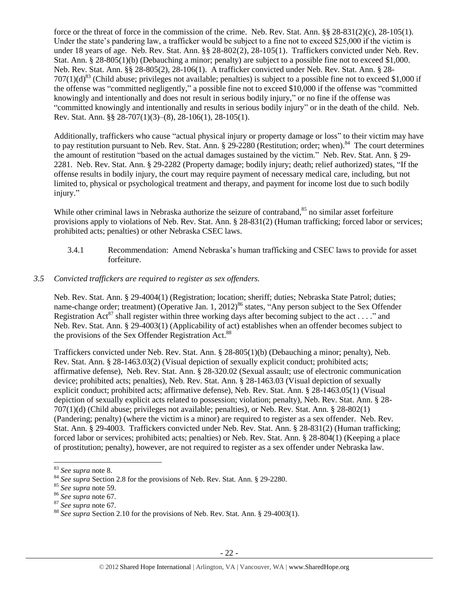force or the threat of force in the commission of the crime. Neb. Rev. Stat. Ann. §§ 28-831(2)(c), 28-105(1). Under the state's pandering law, a trafficker would be subject to a fine not to exceed \$25,000 if the victim is under 18 years of age. Neb. Rev. Stat. Ann. §§ 28-802(2), 28-105(1). Traffickers convicted under Neb. Rev. Stat. Ann. § 28-805(1)(b) (Debauching a minor; penalty) are subject to a possible fine not to exceed \$1,000. Neb. Rev. Stat. Ann. §§ 28-805(2), 28-106(1). A trafficker convicted under Neb. Rev. Stat. Ann. § 28-  $707(1)(d)^{83}$  (Child abuse; privileges not available; penalties) is subject to a possible fine not to exceed \$1,000 if the offense was "committed negligently," a possible fine not to exceed \$10,000 if the offense was "committed knowingly and intentionally and does not result in serious bodily injury," or no fine if the offense was "committed knowingly and intentionally and results in serious bodily injury" or in the death of the child. Neb. Rev. Stat. Ann. §§ 28-707(1)(3)–(8), 28-106(1), 28-105(1).

Additionally, traffickers who cause "actual physical injury or property damage or loss" to their victim may have to pay restitution pursuant to Neb. Rev. Stat. Ann. § 29-2280 (Restitution; order; when).<sup>84</sup> The court determines the amount of restitution "based on the actual damages sustained by the victim." Neb. Rev. Stat. Ann. § 29- 2281. Neb. Rev. Stat. Ann. § 29-2282 (Property damage; bodily injury; death; relief authorized) states, "If the offense results in bodily injury, the court may require payment of necessary medical care, including, but not limited to, physical or psychological treatment and therapy, and payment for income lost due to such bodily injury."

While other criminal laws in Nebraska authorize the seizure of contraband,<sup>85</sup> no similar asset forfeiture provisions apply to violations of Neb. Rev. Stat. Ann. § 28-831(2) (Human trafficking; forced labor or services; prohibited acts; penalties) or other Nebraska CSEC laws.

3.4.1 Recommendation: Amend Nebraska's human trafficking and CSEC laws to provide for asset forfeiture.

#### *3.5 Convicted traffickers are required to register as sex offenders.*

Neb. Rev. Stat. Ann. § 29-4004(1) (Registration; location; sheriff; duties; Nebraska State Patrol; duties; name-change order; treatment) (Operative Jan. 1, 2012)<sup>86</sup> states, "Any person subject to the Sex Offender Registration Act<sup>87</sup> shall register within three working days after becoming subject to the act . . . ." and Neb. Rev. Stat. Ann. § 29-4003(1) (Applicability of act) establishes when an offender becomes subject to the provisions of the Sex Offender Registration Act.<sup>88</sup>

Traffickers convicted under Neb. Rev. Stat. Ann. § 28-805(1)(b) (Debauching a minor; penalty), Neb. Rev. Stat. Ann. § 28-1463.03(2) (Visual depiction of sexually explicit conduct; prohibited acts; affirmative defense), Neb. Rev. Stat. Ann. § 28-320.02 (Sexual assault; use of electronic communication device; prohibited acts; penalties), Neb. Rev. Stat. Ann. § 28-1463.03 (Visual depiction of sexually explicit conduct; prohibited acts; affirmative defense), Neb. Rev. Stat. Ann. § 28-1463.05(1) (Visual depiction of sexually explicit acts related to possession; violation; penalty), Neb. Rev. Stat. Ann. § 28- 707(1)(d) (Child abuse; privileges not available; penalties), or Neb. Rev. Stat. Ann. § 28-802(1) (Pandering; penalty) (where the victim is a minor) are required to register as a sex offender. Neb. Rev. Stat. Ann. § 29-4003. Traffickers convicted under Neb. Rev. Stat. Ann. § 28-831(2) (Human trafficking; forced labor or services; prohibited acts; penalties) or Neb. Rev. Stat. Ann. § 28-804(1) (Keeping a place of prostitution; penalty), however, are not required to register as a sex offender under Nebraska law.

 $\overline{\phantom{a}}$ <sup>83</sup> *See supra* note [8.](#page-1-1)

<sup>&</sup>lt;sup>84</sup> See supra Section 2.8 for the provisions of Neb. Rev. Stat. Ann. § 29-2280.

<sup>85</sup> *See supra* note [59.](#page-15-0) 

<sup>86</sup> *See supra* note [67.](#page-16-0) 

<sup>87</sup> *See supra* note [67.](#page-16-0) 

<sup>88</sup> *See supra* Section 2.10 for the provisions of Neb. Rev. Stat. Ann. § 29-4003(1).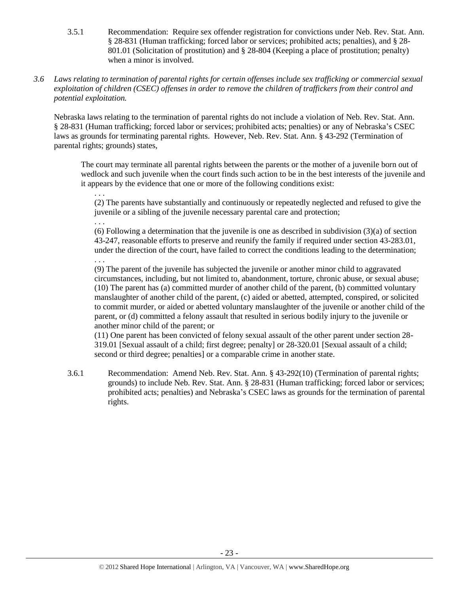- 3.5.1 Recommendation: Require sex offender registration for convictions under Neb. Rev. Stat. Ann. § 28-831 (Human trafficking; forced labor or services; prohibited acts; penalties), and § 28- 801.01 (Solicitation of prostitution) and § 28-804 (Keeping a place of prostitution; penalty) when a minor is involved.
- *3.6 Laws relating to termination of parental rights for certain offenses include sex trafficking or commercial sexual exploitation of children (CSEC) offenses in order to remove the children of traffickers from their control and potential exploitation.*

Nebraska laws relating to the termination of parental rights do not include a violation of Neb. Rev. Stat. Ann. § 28-831 (Human trafficking; forced labor or services; prohibited acts; penalties) or any of Nebraska's CSEC laws as grounds for terminating parental rights. However, Neb. Rev. Stat. Ann. § 43-292 (Termination of parental rights; grounds) states,

The court may terminate all parental rights between the parents or the mother of a juvenile born out of wedlock and such juvenile when the court finds such action to be in the best interests of the juvenile and it appears by the evidence that one or more of the following conditions exist:

(2) The parents have substantially and continuously or repeatedly neglected and refused to give the juvenile or a sibling of the juvenile necessary parental care and protection;

. . .

. . .

(6) Following a determination that the juvenile is one as described in subdivision (3)(a) of section 43-247, reasonable efforts to preserve and reunify the family if required under section 43-283.01, under the direction of the court, have failed to correct the conditions leading to the determination; . . .

(9) The parent of the juvenile has subjected the juvenile or another minor child to aggravated circumstances, including, but not limited to, abandonment, torture, chronic abuse, or sexual abuse; (10) The parent has (a) committed murder of another child of the parent, (b) committed voluntary manslaughter of another child of the parent, (c) aided or abetted, attempted, conspired, or solicited to commit murder, or aided or abetted voluntary manslaughter of the juvenile or another child of the parent, or (d) committed a felony assault that resulted in serious bodily injury to the juvenile or another minor child of the parent; or

(11) One parent has been convicted of felony sexual assault of the other parent under section 28- 319.01 [Sexual assault of a child; first degree; penalty] or 28-320.01 [Sexual assault of a child; second or third degree; penalties] or a comparable crime in another state.

3.6.1 Recommendation: Amend Neb. Rev. Stat. Ann. § 43-292(10) (Termination of parental rights; grounds) to include Neb. Rev. Stat. Ann. § 28-831 (Human trafficking; forced labor or services; prohibited acts; penalties) and Nebraska's CSEC laws as grounds for the termination of parental rights.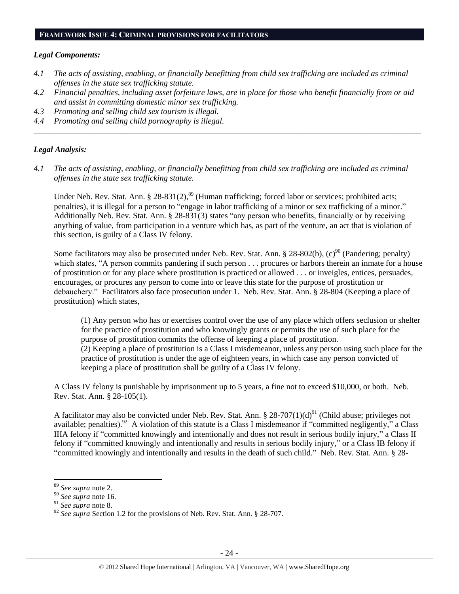#### **FRAMEWORK ISSUE 4: CRIMINAL PROVISIONS FOR FACILITATORS**

#### *Legal Components:*

- *4.1 The acts of assisting, enabling, or financially benefitting from child sex trafficking are included as criminal offenses in the state sex trafficking statute.*
- *4.2 Financial penalties, including asset forfeiture laws, are in place for those who benefit financially from or aid and assist in committing domestic minor sex trafficking.*

*\_\_\_\_\_\_\_\_\_\_\_\_\_\_\_\_\_\_\_\_\_\_\_\_\_\_\_\_\_\_\_\_\_\_\_\_\_\_\_\_\_\_\_\_\_\_\_\_\_\_\_\_\_\_\_\_\_\_\_\_\_\_\_\_\_\_\_\_\_\_\_\_\_\_\_\_\_\_\_\_\_\_\_\_\_\_\_\_\_\_\_\_\_\_*

- *4.3 Promoting and selling child sex tourism is illegal.*
- *4.4 Promoting and selling child pornography is illegal.*

#### *Legal Analysis:*

*4.1 The acts of assisting, enabling, or financially benefitting from child sex trafficking are included as criminal offenses in the state sex trafficking statute.*

Under Neb. Rev. Stat. Ann. § 28-831(2),<sup>89</sup> (Human trafficking; forced labor or services; prohibited acts; penalties), it is illegal for a person to "engage in labor trafficking of a minor or sex trafficking of a minor." Additionally Neb. Rev. Stat. Ann. § 28-831(3) states "any person who benefits, financially or by receiving anything of value, from participation in a venture which has, as part of the venture, an act that is violation of this section, is guilty of a Class IV felony.

Some facilitators may also be prosecuted under Neb. Rev. Stat. Ann. § 28-802(b), (c)<sup>90</sup> (Pandering; penalty) which states, "A person commits pandering if such person . . . procures or harbors therein an inmate for a house of prostitution or for any place where prostitution is practiced or allowed . . . or inveigles, entices, persuades, encourages, or procures any person to come into or leave this state for the purpose of prostitution or debauchery." Facilitators also face prosecution under 1. Neb. Rev. Stat. Ann. § 28-804 (Keeping a place of prostitution) which states,

(1) Any person who has or exercises control over the use of any place which offers seclusion or shelter for the practice of prostitution and who knowingly grants or permits the use of such place for the purpose of prostitution commits the offense of keeping a place of prostitution. (2) Keeping a place of prostitution is a Class I misdemeanor, unless any person using such place for the practice of prostitution is under the age of eighteen years, in which case any person convicted of keeping a place of prostitution shall be guilty of a Class IV felony.

A Class IV felony is punishable by imprisonment up to 5 years, a fine not to exceed \$10,000, or both. Neb. Rev. Stat. Ann. § 28-105(1).

A facilitator may also be convicted under Neb. Rev. Stat. Ann. § 28-707(1)(d)<sup>91</sup> (Child abuse; privileges not available; penalties). <sup>92</sup> A violation of this statute is a Class I misdemeanor if "committed negligently," a Class IIIA felony if "committed knowingly and intentionally and does not result in serious bodily injury," a Class II felony if "committed knowingly and intentionally and results in serious bodily injury," or a Class IB felony if "committed knowingly and intentionally and results in the death of such child." Neb. Rev. Stat. Ann. § 28-

 $\overline{\phantom{a}}$ 

<sup>91</sup> *See supra* note [8.](#page-1-1)

<sup>89</sup> *See supra* note [2.](#page-2-1)

<sup>90</sup> *See supra* note [16.](#page-3-1)

<sup>&</sup>lt;sup>92</sup> See supra Section 1.2 for the provisions of Neb. Rev. Stat. Ann. § 28-707.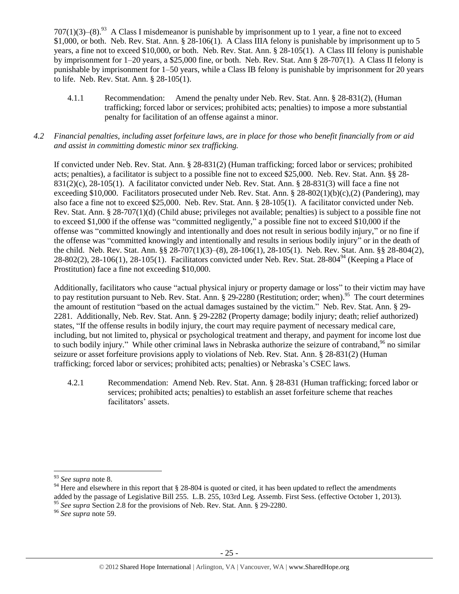$707(1)(3)$ –(8).<sup>93</sup> A Class I misdemeanor is punishable by imprisonment up to 1 year, a fine not to exceed \$1,000, or both. Neb. Rev. Stat. Ann. § 28-106(1). A Class IIIA felony is punishable by imprisonment up to 5 years, a fine not to exceed \$10,000, or both. Neb. Rev. Stat. Ann. § 28-105(1). A Class III felony is punishable by imprisonment for 1–20 years, a \$25,000 fine, or both. Neb. Rev. Stat. Ann § 28-707(1). A Class II felony is punishable by imprisonment for 1–50 years, while a Class IB felony is punishable by imprisonment for 20 years to life. Neb. Rev. Stat. Ann. § 28-105(1).

4.1.1 Recommendation: Amend the penalty under Neb. Rev. Stat. Ann. § 28-831(2), (Human trafficking; forced labor or services; prohibited acts; penalties) to impose a more substantial penalty for facilitation of an offense against a minor.

## *4.2 Financial penalties, including asset forfeiture laws, are in place for those who benefit financially from or aid and assist in committing domestic minor sex trafficking.*

If convicted under Neb. Rev. Stat. Ann. § 28-831(2) (Human trafficking; forced labor or services; prohibited acts; penalties), a facilitator is subject to a possible fine not to exceed \$25,000. Neb. Rev. Stat. Ann. §§ 28- 831(2)(c), 28-105(1). A facilitator convicted under Neb. Rev. Stat. Ann. § 28-831(3) will face a fine not exceeding \$10,000. Facilitators prosecuted under Neb. Rev. Stat. Ann. § 28-802(1)(b)(c),(2) (Pandering), may also face a fine not to exceed \$25,000. Neb. Rev. Stat. Ann. § 28-105(1). A facilitator convicted under Neb. Rev. Stat. Ann. § 28-707(1)(d) (Child abuse; privileges not available; penalties) is subject to a possible fine not to exceed \$1,000 if the offense was "committed negligently," a possible fine not to exceed \$10,000 if the offense was "committed knowingly and intentionally and does not result in serious bodily injury," or no fine if the offense was "committed knowingly and intentionally and results in serious bodily injury" or in the death of the child. Neb. Rev. Stat. Ann. §§ 28-707(1)(3)–(8), 28-106(1), 28-105(1). Neb. Rev. Stat. Ann. §§ 28-804(2), 28-802(2), 28-106(1), 28-105(1). Facilitators convicted under Neb. Rev. Stat. 28-804<sup>94</sup> (Keeping a Place of Prostitution) face a fine not exceeding \$10,000.

Additionally, facilitators who cause "actual physical injury or property damage or loss" to their victim may have to pay restitution pursuant to Neb. Rev. Stat. Ann.  $\S 29-2280$  (Restitution; order; when).<sup>95</sup> The court determines the amount of restitution "based on the actual damages sustained by the victim." Neb. Rev. Stat. Ann. § 29- 2281. Additionally, Neb. Rev. Stat. Ann. § 29-2282 (Property damage; bodily injury; death; relief authorized) states, "If the offense results in bodily injury, the court may require payment of necessary medical care, including, but not limited to, physical or psychological treatment and therapy, and payment for income lost due to such bodily injury." While other criminal laws in Nebraska authorize the seizure of contraband,<sup>96</sup> no similar seizure or asset forfeiture provisions apply to violations of Neb. Rev. Stat. Ann. § 28-831(2) (Human trafficking; forced labor or services; prohibited acts; penalties) or Nebraska's CSEC laws.

4.2.1 Recommendation: Amend Neb. Rev. Stat. Ann. § 28-831 (Human trafficking; forced labor or services; prohibited acts; penalties) to establish an asset forfeiture scheme that reaches facilitators' assets.

<sup>96</sup> *See supra* note [59.](#page-15-0)

l <sup>93</sup> *See supra* note [8.](#page-1-1)

<sup>&</sup>lt;sup>94</sup> Here and elsewhere in this report that  $\S 28-804$  is quoted or cited, it has been updated to reflect the amendments added by the passage of Legislative Bill 255. L.B. 255, 103rd Leg. Assemb. First Sess. (effective October 1, 2013). <sup>95</sup> See supra Section 2.8 for the provisions of Neb. Rev. Stat. Ann. § 29-2280.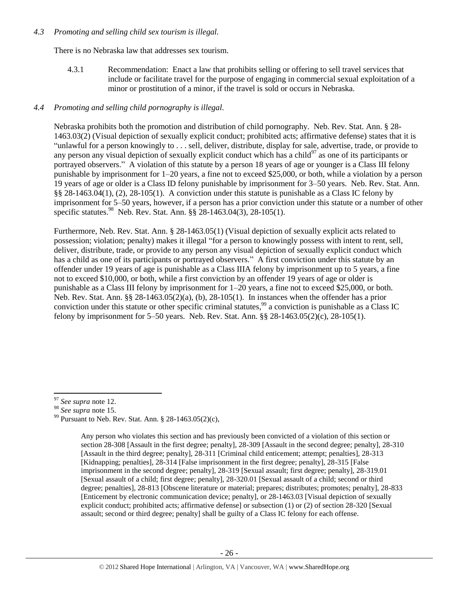#### *4.3 Promoting and selling child sex tourism is illegal.*

There is no Nebraska law that addresses sex tourism.

4.3.1 Recommendation: Enact a law that prohibits selling or offering to sell travel services that include or facilitate travel for the purpose of engaging in commercial sexual exploitation of a minor or prostitution of a minor, if the travel is sold or occurs in Nebraska.

## *4.4 Promoting and selling child pornography is illegal.*

Nebraska prohibits both the promotion and distribution of child pornography. Neb. Rev. Stat. Ann. § 28- 1463.03(2) (Visual depiction of sexually explicit conduct; prohibited acts; affirmative defense) states that it is "unlawful for a person knowingly to . . . sell, deliver, distribute, display for sale, advertise, trade, or provide to any person any visual depiction of sexually explicit conduct which has a child $^{97}$  as one of its participants or portrayed observers." A violation of this statute by a person 18 years of age or younger is a Class III felony punishable by imprisonment for 1–20 years, a fine not to exceed \$25,000, or both, while a violation by a person 19 years of age or older is a Class ID felony punishable by imprisonment for 3–50 years. Neb. Rev. Stat. Ann. §§ 28-1463.04(1), (2), 28-105(1). A conviction under this statute is punishable as a Class IC felony by imprisonment for 5–50 years, however, if a person has a prior conviction under this statute or a number of other specific statutes.<sup>98</sup> Neb. Rev. Stat. Ann. §§ 28-1463.04(3), 28-105(1).

Furthermore, Neb. Rev. Stat. Ann. § 28-1463.05(1) (Visual depiction of sexually explicit acts related to possession; violation; penalty) makes it illegal "for a person to knowingly possess with intent to rent, sell, deliver, distribute, trade, or provide to any person any visual depiction of sexually explicit conduct which has a child as one of its participants or portrayed observers." A first conviction under this statute by an offender under 19 years of age is punishable as a Class IIIA felony by imprisonment up to 5 years, a fine not to exceed \$10,000, or both, while a first conviction by an offender 19 years of age or older is punishable as a Class III felony by imprisonment for 1–20 years, a fine not to exceed \$25,000, or both. Neb. Rev. Stat. Ann. §§ 28-1463.05(2)(a), (b), 28-105(1). In instances when the offender has a prior conviction under this statute or other specific criminal statutes,<sup>99</sup> a conviction is punishable as a Class IC felony by imprisonment for 5–50 years. Neb. Rev. Stat. Ann. §§ 28-1463.05(2)(c), 28-105(1).

 $\overline{a}$ 

<sup>97</sup> *See supra* note [12.](#page-2-2)

<sup>98</sup> *See supra* note [15.](#page-3-2) 

<sup>&</sup>lt;sup>99</sup> Pursuant to Neb. Rev. Stat. Ann.  $\S$  28-1463.05(2)(c),

Any person who violates this section and has previously been convicted of a violation of this section or section 28-308 [Assault in the first degree; penalty], 28-309 [Assault in the second degree; penalty], 28-310 [Assault in the third degree; penalty], 28-311 [Criminal child enticement; attempt; penalties], 28-313 [Kidnapping; penalties], 28-314 [False imprisonment in the first degree; penalty], 28-315 [False imprisonment in the second degree; penalty], 28-319 [Sexual assault; first degree; penalty], 28-319.01 [Sexual assault of a child; first degree; penalty], 28-320.01 [Sexual assault of a child; second or third degree; penalties], 28-813 [Obscene literature or material; prepares; distributes; promotes; penalty], 28-833 [Enticement by electronic communication device; penalty], or 28-1463.03 [Visual depiction of sexually explicit conduct; prohibited acts; affirmative defense] or subsection (1) or (2) of section 28-320 [Sexual assault; second or third degree; penalty] shall be guilty of a Class IC felony for each offense.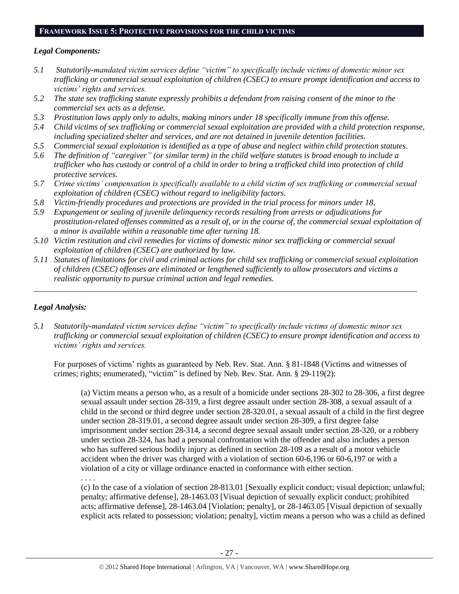## **FRAMEWORK ISSUE 5: PROTECTIVE PROVISIONS FOR THE CHILD VICTIMS**

## *Legal Components:*

- *5.1 Statutorily-mandated victim services define "victim" to specifically include victims of domestic minor sex trafficking or commercial sexual exploitation of children (CSEC) to ensure prompt identification and access to victims' rights and services.*
- *5.2 The state sex trafficking statute expressly prohibits a defendant from raising consent of the minor to the commercial sex acts as a defense.*
- *5.3 Prostitution laws apply only to adults, making minors under 18 specifically immune from this offense.*
- *5.4 Child victims of sex trafficking or commercial sexual exploitation are provided with a child protection response, including specialized shelter and services, and are not detained in juvenile detention facilities.*
- *5.5 Commercial sexual exploitation is identified as a type of abuse and neglect within child protection statutes.*
- *5.6 The definition of "caregiver" (or similar term) in the child welfare statutes is broad enough to include a trafficker who has custody or control of a child in order to bring a trafficked child into protection of child protective services.*
- *5.7 Crime victims' compensation is specifically available to a child victim of sex trafficking or commercial sexual exploitation of children (CSEC) without regard to ineligibility factors.*
- *5.8 Victim-friendly procedures and protections are provided in the trial process for minors under 18.*
- *5.9 Expungement or sealing of juvenile delinquency records resulting from arrests or adjudications for prostitution-related offenses committed as a result of, or in the course of, the commercial sexual exploitation of a minor is available within a reasonable time after turning 18.*
- *5.10 Victim restitution and civil remedies for victims of domestic minor sex trafficking or commercial sexual exploitation of children (CSEC) are authorized by law.*
- *5.11 Statutes of limitations for civil and criminal actions for child sex trafficking or commercial sexual exploitation of children (CSEC) offenses are eliminated or lengthened sufficiently to allow prosecutors and victims a realistic opportunity to pursue criminal action and legal remedies.*

*\_\_\_\_\_\_\_\_\_\_\_\_\_\_\_\_\_\_\_\_\_\_\_\_\_\_\_\_\_\_\_\_\_\_\_\_\_\_\_\_\_\_\_\_\_\_\_\_\_\_\_\_\_\_\_\_\_\_\_\_\_\_\_\_\_\_\_\_\_\_\_\_\_\_\_\_\_\_\_\_\_\_\_\_\_\_\_\_\_\_\_\_\_*

## *Legal Analysis:*

*5.1 Statutorily-mandated victim services define "victim" to specifically include victims of domestic minor sex trafficking or commercial sexual exploitation of children (CSEC) to ensure prompt identification and access to victims' rights and services.*

For purposes of victims' rights as guaranteed by Neb. Rev. Stat. Ann. § 81-1848 (Victims and witnesses of crimes; rights; enumerated), "victim" is defined by Neb. Rev. Stat. Ann. § 29-119(2):

(a) Victim means a person who, as a result of a homicide under sections 28-302 to 28-306, a first degree sexual assault under section 28-319, a first degree assault under section 28-308, a sexual assault of a child in the second or third degree under section 28-320.01, a sexual assault of a child in the first degree under section 28-319.01, a second degree assault under section 28-309, a first degree false imprisonment under section 28-314, a second degree sexual assault under section 28-320, or a robbery under section 28-324, has had a personal confrontation with the offender and also includes a person who has suffered serious bodily injury as defined in section 28-109 as a result of a motor vehicle accident when the driver was charged with a violation of section 60-6,196 or 60-6,197 or with a violation of a city or village ordinance enacted in conformance with either section.

. . . . (c) In the case of a violation of section 28-813.01 [Sexually explicit conduct; visual depiction; unlawful; penalty; affirmative defense], 28-1463.03 [Visual depiction of sexually explicit conduct; prohibited acts; affirmative defense], 28-1463.04 [Violation; penalty], or 28-1463.05 [Visual depiction of sexually explicit acts related to possession; violation; penalty], victim means a person who was a child as defined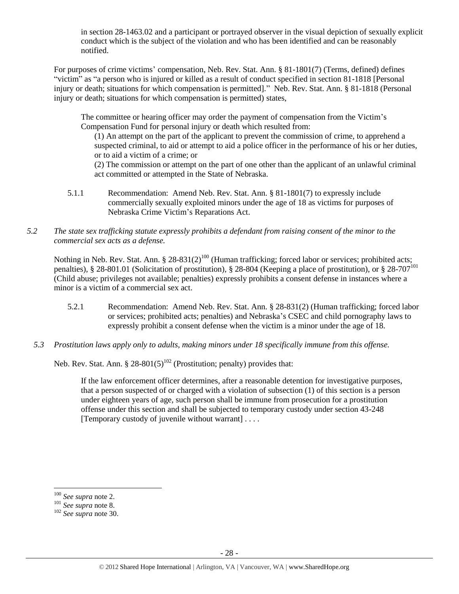in section 28-1463.02 and a participant or portrayed observer in the visual depiction of sexually explicit conduct which is the subject of the violation and who has been identified and can be reasonably notified.

For purposes of crime victims' compensation, Neb. Rev. Stat. Ann. § 81-1801(7) (Terms, defined) defines "victim" as "a person who is injured or killed as a result of conduct specified in section 81-1818 [Personal injury or death; situations for which compensation is permitted]." Neb. Rev. Stat. Ann. § 81-1818 (Personal injury or death; situations for which compensation is permitted) states,

The committee or hearing officer may order the payment of compensation from the Victim's Compensation Fund for personal injury or death which resulted from:

(1) An attempt on the part of the applicant to prevent the commission of crime, to apprehend a suspected criminal, to aid or attempt to aid a police officer in the performance of his or her duties, or to aid a victim of a crime; or

(2) The commission or attempt on the part of one other than the applicant of an unlawful criminal act committed or attempted in the State of Nebraska.

- 5.1.1 Recommendation: Amend Neb. Rev. Stat. Ann. § 81-1801(7) to expressly include commercially sexually exploited minors under the age of 18 as victims for purposes of Nebraska Crime Victim's Reparations Act.
- *5.2 The state sex trafficking statute expressly prohibits a defendant from raising consent of the minor to the commercial sex acts as a defense.*

Nothing in Neb. Rev. Stat. Ann. § 28-831(2)<sup>100</sup> (Human trafficking; forced labor or services; prohibited acts; penalties), § 28-801.01 (Solicitation of prostitution), § 28-804 (Keeping a place of prostitution), or § 28-707<sup>101</sup> (Child abuse; privileges not available; penalties) expressly prohibits a consent defense in instances where a minor is a victim of a commercial sex act.

- 5.2.1 Recommendation: Amend Neb. Rev. Stat. Ann. § 28-831(2) (Human trafficking; forced labor or services; prohibited acts; penalties) and Nebraska's CSEC and child pornography laws to expressly prohibit a consent defense when the victim is a minor under the age of 18.
- *5.3 Prostitution laws apply only to adults, making minors under 18 specifically immune from this offense.*

Neb. Rev. Stat. Ann.  $\S 28-801(5)^{102}$  (Prostitution; penalty) provides that:

If the law enforcement officer determines, after a reasonable detention for investigative purposes, that a person suspected of or charged with a violation of subsection (1) of this section is a person under eighteen years of age, such person shall be immune from prosecution for a prostitution offense under this section and shall be subjected to temporary custody under section 43-248 [Temporary custody of juvenile without warrant] . . . .

l

<sup>100</sup> *See supra* not[e 2.](#page-2-1)

<sup>101</sup> *See supra* not[e 8.](#page-1-1)

<sup>102</sup> *See supra* not[e 30.](#page-7-0)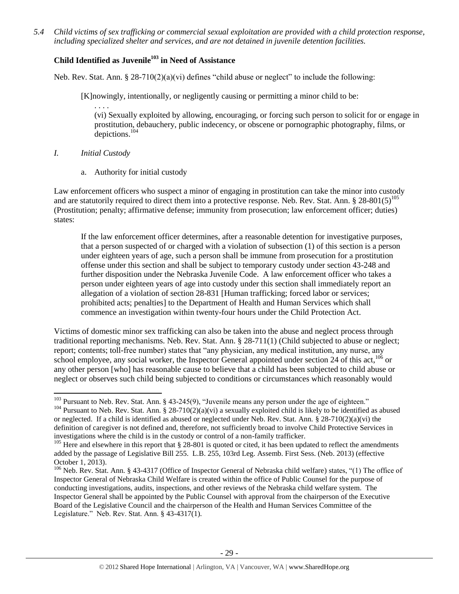*5.4 Child victims of sex trafficking or commercial sexual exploitation are provided with a child protection response, including specialized shelter and services, and are not detained in juvenile detention facilities.*

# **Child Identified as Juvenile<sup>103</sup> in Need of Assistance**

Neb. Rev. Stat. Ann. § 28-710(2)(a)(vi) defines "child abuse or neglect" to include the following:

[K]nowingly, intentionally, or negligently causing or permitting a minor child to be:

. . . . (vi) Sexually exploited by allowing, encouraging, or forcing such person to solicit for or engage in prostitution, debauchery, public indecency, or obscene or pornographic photography, films, or depictions.<sup>104</sup>

- *I. Initial Custody*
	- a. Authority for initial custody

Law enforcement officers who suspect a minor of engaging in prostitution can take the minor into custody and are statutorily required to direct them into a protective response. Neb. Rev. Stat. Ann. § 28-801(5)<sup>105</sup> (Prostitution; penalty; affirmative defense; immunity from prosecution; law enforcement officer; duties) states:

If the law enforcement officer determines, after a reasonable detention for investigative purposes, that a person suspected of or charged with a violation of subsection (1) of this section is a person under eighteen years of age, such a person shall be immune from prosecution for a prostitution offense under this section and shall be subject to temporary custody under section 43-248 and further disposition under the Nebraska Juvenile Code. A law enforcement officer who takes a person under eighteen years of age into custody under this section shall immediately report an allegation of a violation of section 28-831 [Human trafficking; forced labor or services; prohibited acts; penalties] to the Department of Health and Human Services which shall commence an investigation within twenty-four hours under the Child Protection Act.

Victims of domestic minor sex trafficking can also be taken into the abuse and neglect process through traditional reporting mechanisms. Neb. Rev. Stat. Ann. § 28-711(1) (Child subjected to abuse or neglect; report; contents; toll-free number) states that "any physician, any medical institution, any nurse, any school employee, any social worker, the Inspector General appointed under section 24 of this act.<sup>106</sup> or any other person [who] has reasonable cause to believe that a child has been subjected to child abuse or neglect or observes such child being subjected to conditions or circumstances which reasonably would

 $\overline{a}$ <sup>103</sup> Pursuant to Neb. Rev. Stat. Ann. § 43-245(9), "Juvenile means any person under the age of eighteen."

<sup>&</sup>lt;sup>104</sup> Pursuant to Neb. Rev. Stat. Ann. § 28-710(2)(a)(vi) a sexually exploited child is likely to be identified as abused or neglected. If a child is identified as abused or neglected under Neb. Rev. Stat. Ann. § 28-710(2)(a)(vi) the definition of caregiver is not defined and, therefore, not sufficiently broad to involve Child Protective Services in investigations where the child is in the custody or control of a non-family trafficker.

 $105$  Here and elsewhere in this report that § 28-801 is quoted or cited, it has been updated to reflect the amendments added by the passage of Legislative Bill 255. L.B. 255, 103rd Leg. Assemb. First Sess. (Neb. 2013) (effective October 1, 2013).

<sup>&</sup>lt;sup>106</sup> Neb. Rev. Stat. Ann. § 43-4317 (Office of Inspector General of Nebraska child welfare) states, "(1) The office of Inspector General of Nebraska Child Welfare is created within the office of Public Counsel for the purpose of conducting investigations, audits, inspections, and other reviews of the Nebraska child welfare system. The Inspector General shall be appointed by the Public Counsel with approval from the chairperson of the Executive Board of the Legislative Council and the chairperson of the Health and Human Services Committee of the Legislature." Neb. Rev. Stat. Ann. § 43-4317(1).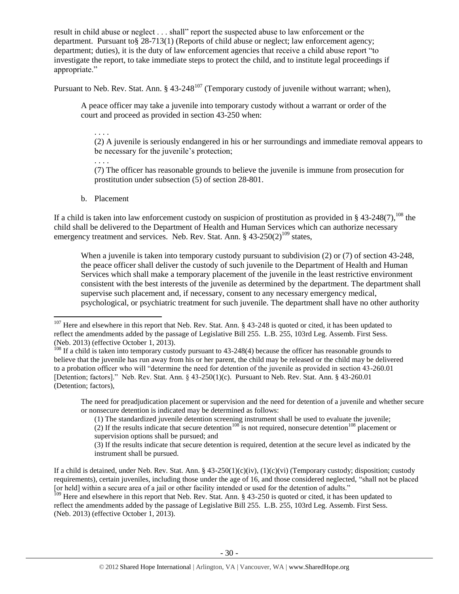result in child abuse or neglect . . . shall" report the suspected abuse to law enforcement or the department. Pursuant to§ 28-713(1) (Reports of child abuse or neglect; law enforcement agency; department; duties), it is the duty of law enforcement agencies that receive a child abuse report "to investigate the report, to take immediate steps to protect the child, and to institute legal proceedings if appropriate."

Pursuant to Neb. Rev. Stat. Ann. § 43-248<sup>107</sup> (Temporary custody of juvenile without warrant; when),

A peace officer may take a juvenile into temporary custody without a warrant or order of the court and proceed as provided in section 43-250 when:

. . . .

(2) A juvenile is seriously endangered in his or her surroundings and immediate removal appears to be necessary for the juvenile's protection;

. . . .

(7) The officer has reasonable grounds to believe the juvenile is immune from prosecution for prostitution under subsection (5) of section 28-801.

b. Placement

If a child is taken into law enforcement custody on suspicion of prostitution as provided in § 43-248(7),<sup>108</sup> the child shall be delivered to the Department of Health and Human Services which can authorize necessary emergency treatment and services. Neb. Rev. Stat. Ann.  $8\,43\text{-}250(2)^{109}$  states,

When a juvenile is taken into temporary custody pursuant to subdivision (2) or (7) of section 43-248, the peace officer shall deliver the custody of such juvenile to the Department of Health and Human Services which shall make a temporary placement of the juvenile in the least restrictive environment consistent with the best interests of the juvenile as determined by the department. The department shall supervise such placement and, if necessary, consent to any necessary emergency medical, psychological, or psychiatric treatment for such juvenile. The department shall have no other authority

The need for preadjudication placement or supervision and the need for detention of a juvenile and whether secure or nonsecure detention is indicated may be determined as follows:

(1) The standardized juvenile detention screening instrument shall be used to evaluate the juvenile;

(2) If the results indicate that secure detention<sup>108</sup> is not required, nonsecure detention<sup>108</sup> placement or supervision options shall be pursued; and

(3) If the results indicate that secure detention is required, detention at the secure level as indicated by the instrument shall be pursued.

If a child is detained, under Neb. Rev. Stat. Ann. § 43-250(1)(c)(iv), (1)(c)(vi) (Temporary custody; disposition; custody requirements), certain juveniles, including those under the age of 16, and those considered neglected, "shall not be placed [or held] within a secure area of a jail or other facility intended or used for the detention of adults."

<sup>109</sup> Here and elsewhere in this report that Neb. Rev. Stat. Ann. § 43-250 is quoted or cited, it has been updated to reflect the amendments added by the passage of Legislative Bill 255. L.B. 255, 103rd Leg. Assemb. First Sess. (Neb. 2013) (effective October 1, 2013).

 $\overline{\phantom{a}}$  $107$  Here and elsewhere in this report that Neb. Rev. Stat. Ann. § 43-248 is quoted or cited, it has been updated to reflect the amendments added by the passage of Legislative Bill 255. L.B. 255, 103rd Leg. Assemb. First Sess. (Neb. 2013) (effective October 1, 2013).

 $108$  If a child is taken into temporary custody pursuant to 43-248(4) because the officer has reasonable grounds to believe that the juvenile has run away from his or her parent, the child may be released or the child may be delivered to a probation officer who will "determine the need for detention of the juvenile as provided in section 43-260.01 [Detention; factors]." Neb. Rev. Stat. Ann. § 43-250(1)(c). Pursuant to Neb. Rev. Stat. Ann. § 43-260.01 (Detention; factors),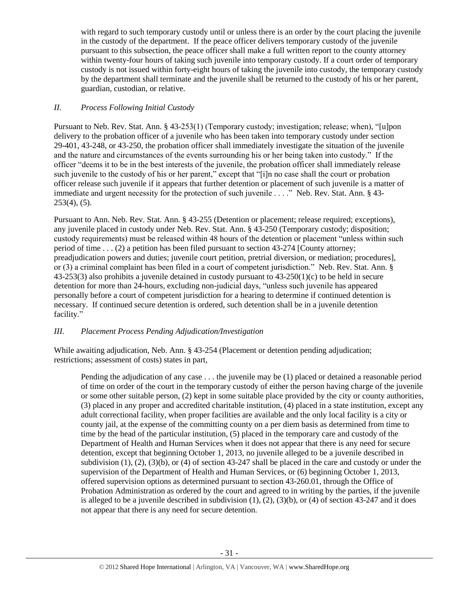with regard to such temporary custody until or unless there is an order by the court placing the juvenile in the custody of the department. If the peace officer delivers temporary custody of the juvenile pursuant to this subsection, the peace officer shall make a full written report to the county attorney within twenty-four hours of taking such juvenile into temporary custody. If a court order of temporary custody is not issued within forty-eight hours of taking the juvenile into custody, the temporary custody by the department shall terminate and the juvenile shall be returned to the custody of his or her parent, guardian, custodian, or relative.

## *II. Process Following Initial Custody*

Pursuant to Neb. Rev. Stat. Ann. § 43-253(1) (Temporary custody; investigation; release; when), "[u]pon delivery to the probation officer of a juvenile who has been taken into temporary custody under section 29-401, 43-248, or 43-250, the probation officer shall immediately investigate the situation of the juvenile and the nature and circumstances of the events surrounding his or her being taken into custody." If the officer "deems it to be in the best interests of the juvenile, the probation officer shall immediately release such juvenile to the custody of his or her parent," except that "[i]n no case shall the court or probation officer release such juvenile if it appears that further detention or placement of such juvenile is a matter of immediate and urgent necessity for the protection of such juvenile . . . ." Neb. Rev. Stat. Ann. § 43-  $253(4)$ ,  $(5)$ .

Pursuant to Ann. Neb. Rev. Stat. Ann. § 43-255 (Detention or placement; release required; exceptions), any juvenile placed in custody under Neb. Rev. Stat. Ann. § 43-250 (Temporary custody; disposition; custody requirements) must be released within 48 hours of the detention or placement "unless within such period of time . . . (2) a petition has been filed pursuant to section 43-274 [County attorney; preadjudication powers and duties; juvenile court petition, pretrial diversion, or mediation; procedures], or (3) a criminal complaint has been filed in a court of competent jurisdiction." Neb. Rev. Stat. Ann. § 43-253(3) also prohibits a juvenile detained in custody pursuant to 43-250(1)(c) to be held in secure detention for more than 24-hours, excluding non-judicial days, "unless such juvenile has appeared personally before a court of competent jurisdiction for a hearing to determine if continued detention is necessary. If continued secure detention is ordered, such detention shall be in a juvenile detention facility."

## *III. Placement Process Pending Adjudication/Investigation*

While awaiting adjudication, Neb. Ann. § 43-254 (Placement or detention pending adjudication; restrictions; assessment of costs) states in part,

Pending the adjudication of any case . . . the juvenile may be (1) placed or detained a reasonable period of time on order of the court in the temporary custody of either the person having charge of the juvenile or some other suitable person, (2) kept in some suitable place provided by the city or county authorities, (3) placed in any proper and accredited charitable institution, (4) placed in a state institution, except any adult correctional facility, when proper facilities are available and the only local facility is a city or county jail, at the expense of the committing county on a per diem basis as determined from time to time by the head of the particular institution, (5) placed in the temporary care and custody of the Department of Health and Human Services when it does not appear that there is any need for secure detention, except that beginning October 1, 2013, no juvenile alleged to be a juvenile described in subdivision (1), (2), (3)(b), or (4) of section 43-247 shall be placed in the care and custody or under the supervision of the Department of Health and Human Services, or (6) beginning October 1, 2013, offered supervision options as determined pursuant to section 43-260.01, through the Office of Probation Administration as ordered by the court and agreed to in writing by the parties, if the juvenile is alleged to be a juvenile described in subdivision  $(1)$ ,  $(2)$ ,  $(3)(b)$ , or  $(4)$  of section 43-247 and it does not appear that there is any need for secure detention.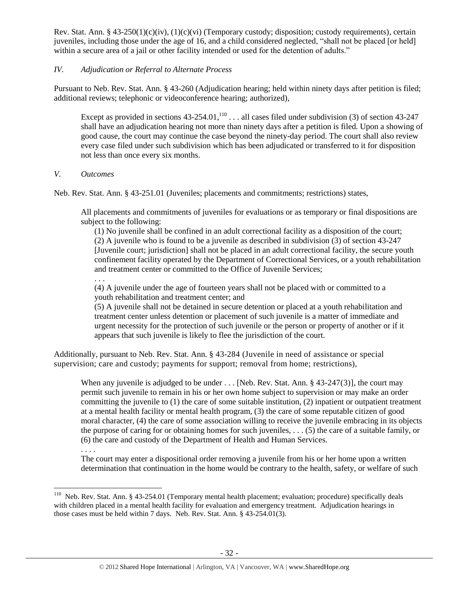Rev. Stat. Ann. § 43-250(1)(c)(iv), (1)(c)(vi) (Temporary custody; disposition; custody requirements), certain juveniles, including those under the age of 16, and a child considered neglected, "shall not be placed [or held] within a secure area of a jail or other facility intended or used for the detention of adults."

## *IV. Adjudication or Referral to Alternate Process*

Pursuant to Neb. Rev. Stat. Ann. § 43-260 (Adjudication hearing; held within ninety days after petition is filed; additional reviews; telephonic or videoconference hearing; authorized),

Except as provided in sections  $43-254.01$ ,  $1^{10}$ ... all cases filed under subdivision (3) of section 43-247 shall have an adjudication hearing not more than ninety days after a petition is filed. Upon a showing of good cause, the court may continue the case beyond the ninety-day period. The court shall also review every case filed under such subdivision which has been adjudicated or transferred to it for disposition not less than once every six months.

## *V. Outcomes*

Neb. Rev. Stat. Ann. § 43-251.01 (Juveniles; placements and commitments; restrictions) states,

All placements and commitments of juveniles for evaluations or as temporary or final dispositions are subject to the following:

(1) No juvenile shall be confined in an adult correctional facility as a disposition of the court; (2) A juvenile who is found to be a juvenile as described in subdivision (3) of section 43-247 [Juvenile court; jurisdiction] shall not be placed in an adult correctional facility, the secure youth confinement facility operated by the Department of Correctional Services, or a youth rehabilitation and treatment center or committed to the Office of Juvenile Services;

. . .

(4) A juvenile under the age of fourteen years shall not be placed with or committed to a youth rehabilitation and treatment center; and

(5) A juvenile shall not be detained in secure detention or placed at a youth rehabilitation and treatment center unless detention or placement of such juvenile is a matter of immediate and urgent necessity for the protection of such juvenile or the person or property of another or if it appears that such juvenile is likely to flee the jurisdiction of the court.

Additionally, pursuant to Neb. Rev. Stat. Ann. § 43-284 (Juvenile in need of assistance or special supervision; care and custody; payments for support; removal from home; restrictions),

When any juvenile is adjudged to be under . . . [Neb. Rev. Stat. Ann. § 43-247(3)], the court may permit such juvenile to remain in his or her own home subject to supervision or may make an order committing the juvenile to (1) the care of some suitable institution, (2) inpatient or outpatient treatment at a mental health facility or mental health program, (3) the care of some reputable citizen of good moral character, (4) the care of some association willing to receive the juvenile embracing in its objects the purpose of caring for or obtaining homes for such juveniles, . . . (5) the care of a suitable family, or (6) the care and custody of the Department of Health and Human Services.

. . . .

The court may enter a dispositional order removing a juvenile from his or her home upon a written determination that continuation in the home would be contrary to the health, safety, or welfare of such

 110 Neb. Rev. Stat. Ann. § 43-254.01 (Temporary mental health placement; evaluation; procedure) specifically deals with children placed in a mental health facility for evaluation and emergency treatment. Adjudication hearings in those cases must be held within 7 days. Neb. Rev. Stat. Ann. § 43-254.01(3).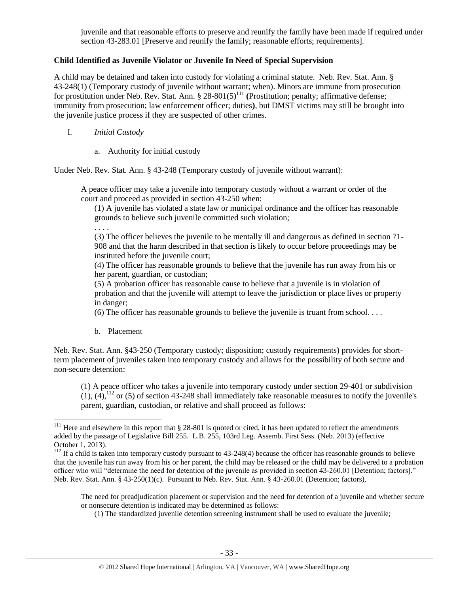juvenile and that reasonable efforts to preserve and reunify the family have been made if required under section 43-283.01 [Preserve and reunify the family; reasonable efforts; requirements].

## **Child Identified as Juvenile Violator or Juvenile In Need of Special Supervision**

A child may be detained and taken into custody for violating a criminal statute. Neb. Rev. Stat. Ann. § 43-248(1) (Temporary custody of juvenile without warrant; when). Minors are immune from prosecution for prostitution under Neb. Rev. Stat. Ann.  $\S 28-801(5)^{111}$  (Prostitution; penalty; affirmative defense; immunity from prosecution; law enforcement officer; duties**)**, but DMST victims may still be brought into the juvenile justice process if they are suspected of other crimes.

- I. *Initial Custody*
	- a. Authority for initial custody

Under Neb. Rev. Stat. Ann. § 43-248 (Temporary custody of juvenile without warrant):

A peace officer may take a juvenile into temporary custody without a warrant or order of the court and proceed as provided in section 43-250 when:

(1) A juvenile has violated a state law or municipal ordinance and the officer has reasonable grounds to believe such juvenile committed such violation;

. . . .

(3) The officer believes the juvenile to be mentally ill and dangerous as defined in section 71- 908 and that the harm described in that section is likely to occur before proceedings may be instituted before the juvenile court;

(4) The officer has reasonable grounds to believe that the juvenile has run away from his or her parent, guardian, or custodian;

(5) A probation officer has reasonable cause to believe that a juvenile is in violation of probation and that the juvenile will attempt to leave the jurisdiction or place lives or property in danger;

(6) The officer has reasonable grounds to believe the juvenile is truant from school. . . .

b. Placement

 $\overline{a}$ 

Neb. Rev. Stat. Ann. §43-250 (Temporary custody; disposition; custody requirements) provides for shortterm placement of juveniles taken into temporary custody and allows for the possibility of both secure and non-secure detention:

(1) A peace officer who takes a juvenile into temporary custody under section 29-401 or subdivision  $(1)$ ,  $(4)$ ,  $^{112}$  or (5) of section 43-248 shall immediately take reasonable measures to notify the juvenile's parent, guardian, custodian, or relative and shall proceed as follows:

The need for preadjudication placement or supervision and the need for detention of a juvenile and whether secure or nonsecure detention is indicated may be determined as follows:

(1) The standardized juvenile detention screening instrument shall be used to evaluate the juvenile;

Here and elsewhere in this report that  $\S 28{\text -}801$  is quoted or cited, it has been updated to reflect the amendments added by the passage of Legislative Bill 255. L.B. 255, 103rd Leg. Assemb. First Sess. (Neb. 2013) (effective October 1, 2013).

 $112$  If a child is taken into temporary custody pursuant to 43-248(4) because the officer has reasonable grounds to believe that the juvenile has run away from his or her parent, the child may be released or the child may be delivered to a probation officer who will "determine the need for detention of the juvenile as provided in section 43-260.01 [Detention; factors]." Neb. Rev. Stat. Ann. § 43-250(1)(c). Pursuant to Neb. Rev. Stat. Ann. § 43-260.01 (Detention; factors),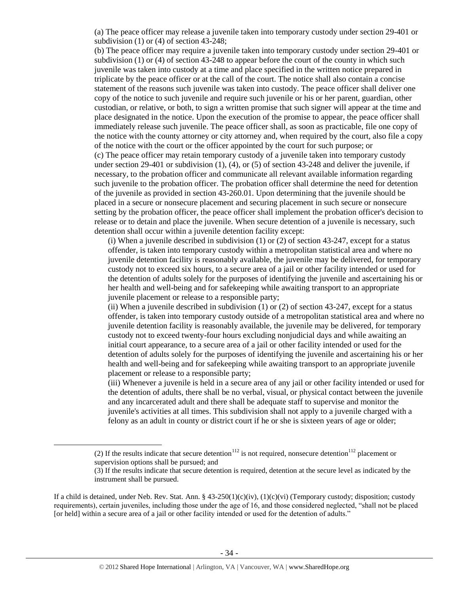(a) The peace officer may release a juvenile taken into temporary custody under section 29-401 or subdivision (1) or (4) of section 43-248;

(b) The peace officer may require a juvenile taken into temporary custody under section 29-401 or subdivision (1) or (4) of section 43-248 to appear before the court of the county in which such juvenile was taken into custody at a time and place specified in the written notice prepared in triplicate by the peace officer or at the call of the court. The notice shall also contain a concise statement of the reasons such juvenile was taken into custody. The peace officer shall deliver one copy of the notice to such juvenile and require such juvenile or his or her parent, guardian, other custodian, or relative, or both, to sign a written promise that such signer will appear at the time and place designated in the notice. Upon the execution of the promise to appear, the peace officer shall immediately release such juvenile. The peace officer shall, as soon as practicable, file one copy of the notice with the county attorney or city attorney and, when required by the court, also file a copy of the notice with the court or the officer appointed by the court for such purpose; or (c) The peace officer may retain temporary custody of a juvenile taken into temporary custody under section 29-401 or subdivision (1), (4), or (5) of section 43-248 and deliver the juvenile, if necessary, to the probation officer and communicate all relevant available information regarding such juvenile to the probation officer. The probation officer shall determine the need for detention of the juvenile as provided in section 43-260.01. Upon determining that the juvenile should be placed in a secure or nonsecure placement and securing placement in such secure or nonsecure setting by the probation officer, the peace officer shall implement the probation officer's decision to release or to detain and place the juvenile. When secure detention of a juvenile is necessary, such detention shall occur within a juvenile detention facility except:

(i) When a juvenile described in subdivision  $(1)$  or  $(2)$  of section 43-247, except for a status offender, is taken into temporary custody within a metropolitan statistical area and where no juvenile detention facility is reasonably available, the juvenile may be delivered, for temporary custody not to exceed six hours, to a secure area of a jail or other facility intended or used for the detention of adults solely for the purposes of identifying the juvenile and ascertaining his or her health and well-being and for safekeeping while awaiting transport to an appropriate juvenile placement or release to a responsible party;

(ii) When a juvenile described in subdivision  $(1)$  or  $(2)$  of section 43-247, except for a status offender, is taken into temporary custody outside of a metropolitan statistical area and where no juvenile detention facility is reasonably available, the juvenile may be delivered, for temporary custody not to exceed twenty-four hours excluding nonjudicial days and while awaiting an initial court appearance, to a secure area of a jail or other facility intended or used for the detention of adults solely for the purposes of identifying the juvenile and ascertaining his or her health and well-being and for safekeeping while awaiting transport to an appropriate juvenile placement or release to a responsible party;

(iii) Whenever a juvenile is held in a secure area of any jail or other facility intended or used for the detention of adults, there shall be no verbal, visual, or physical contact between the juvenile and any incarcerated adult and there shall be adequate staff to supervise and monitor the juvenile's activities at all times. This subdivision shall not apply to a juvenile charged with a felony as an adult in county or district court if he or she is sixteen years of age or older;

 $\overline{a}$ 

<sup>(2)</sup> If the results indicate that secure detention<sup>112</sup> is not required, nonsecure detention<sup>112</sup> placement or supervision options shall be pursued; and

<sup>(3)</sup> If the results indicate that secure detention is required, detention at the secure level as indicated by the instrument shall be pursued.

If a child is detained, under Neb. Rev. Stat. Ann. §  $43-250(1)(c)(iv)$ ,  $(1)(c)(vi)$  (Temporary custody; disposition; custody requirements), certain juveniles, including those under the age of 16, and those considered neglected, "shall not be placed [or held] within a secure area of a jail or other facility intended or used for the detention of adults."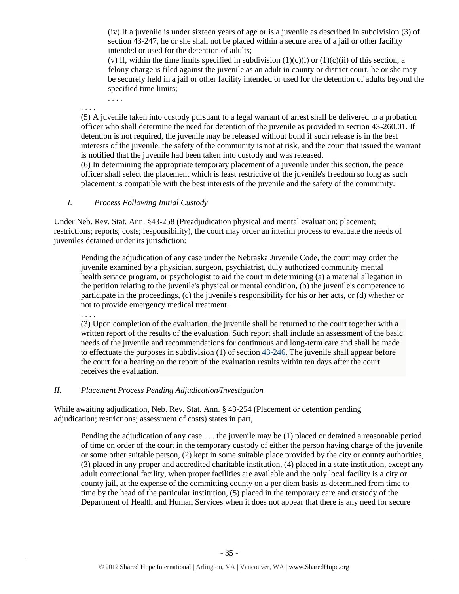(iv) If a juvenile is under sixteen years of age or is a juvenile as described in subdivision (3) of section 43-247, he or she shall not be placed within a secure area of a jail or other facility intended or used for the detention of adults;

(v) If, within the time limits specified in subdivision  $(1)(c)(i)$  or  $(1)(c)(ii)$  of this section, a felony charge is filed against the juvenile as an adult in county or district court, he or she may be securely held in a jail or other facility intended or used for the detention of adults beyond the specified time limits;

. . . .

. . . . (5) A juvenile taken into custody pursuant to a legal warrant of arrest shall be delivered to a probation officer who shall determine the need for detention of the juvenile as provided in section 43-260.01. If detention is not required, the juvenile may be released without bond if such release is in the best interests of the juvenile, the safety of the community is not at risk, and the court that issued the warrant is notified that the juvenile had been taken into custody and was released.

(6) In determining the appropriate temporary placement of a juvenile under this section, the peace officer shall select the placement which is least restrictive of the juvenile's freedom so long as such placement is compatible with the best interests of the juvenile and the safety of the community.

*I. Process Following Initial Custody*

Under Neb. Rev. Stat. Ann. §43-258 (Preadjudication physical and mental evaluation; placement; restrictions; reports; costs; responsibility), the court may order an interim process to evaluate the needs of juveniles detained under its jurisdiction:

Pending the adjudication of any case under the Nebraska Juvenile Code, the court may order the juvenile examined by a physician, surgeon, psychiatrist, duly authorized community mental health service program, or psychologist to aid the court in determining (a) a material allegation in the petition relating to the juvenile's physical or mental condition, (b) the juvenile's competence to participate in the proceedings, (c) the juvenile's responsibility for his or her acts, or (d) whether or not to provide emergency medical treatment.

. . . .

(3) Upon completion of the evaluation, the juvenile shall be returned to the court together with a written report of the results of the evaluation. Such report shall include an assessment of the basic needs of the juvenile and recommendations for continuous and long-term care and shall be made to effectuate the purposes in subdivision (1) of section [43-246.](http://www.leg.ne.gov/laws/statutes.php?statute=43-246) The juvenile shall appear before the court for a hearing on the report of the evaluation results within ten days after the court receives the evaluation.

## *II. Placement Process Pending Adjudication/Investigation*

While awaiting adjudication, Neb. Rev. Stat. Ann. § 43-254 (Placement or detention pending adjudication; restrictions; assessment of costs) states in part,

Pending the adjudication of any case . . . the juvenile may be (1) placed or detained a reasonable period of time on order of the court in the temporary custody of either the person having charge of the juvenile or some other suitable person, (2) kept in some suitable place provided by the city or county authorities, (3) placed in any proper and accredited charitable institution, (4) placed in a state institution, except any adult correctional facility, when proper facilities are available and the only local facility is a city or county jail, at the expense of the committing county on a per diem basis as determined from time to time by the head of the particular institution, (5) placed in the temporary care and custody of the Department of Health and Human Services when it does not appear that there is any need for secure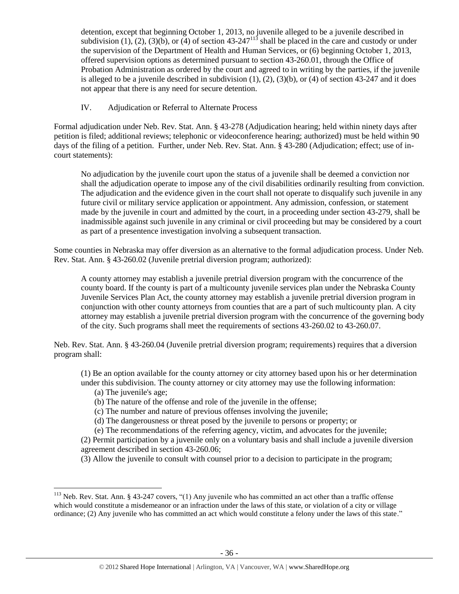detention, except that beginning October 1, 2013, no juvenile alleged to be a juvenile described in subdivision (1), (2), (3)(b), or (4) of section  $43-247^{113}$  shall be placed in the care and custody or under the supervision of the Department of Health and Human Services, or (6) beginning October 1, 2013, offered supervision options as determined pursuant to section [43-260.01,](http://nebraskalegislature.gov/laws/statutes.php?statute=43-260.01) through the Office of Probation Administration as ordered by the court and agreed to in writing by the parties, if the juvenile is alleged to be a juvenile described in subdivision  $(1)$ ,  $(2)$ ,  $(3)(b)$ , or  $(4)$  of sectio[n 43-247](http://nebraskalegislature.gov/laws/statutes.php?statute=43-247) and it does not appear that there is any need for secure detention.

## IV. Adjudication or Referral to Alternate Process

Formal adjudication under Neb. Rev. Stat. Ann. § 43-278 (Adjudication hearing; held within ninety days after petition is filed; additional reviews; telephonic or videoconference hearing; authorized) must be held within 90 days of the filing of a petition. Further, under Neb. Rev. Stat. Ann. § 43-280 (Adjudication; effect; use of incourt statements):

No adjudication by the juvenile court upon the status of a juvenile shall be deemed a conviction nor shall the adjudication operate to impose any of the civil disabilities ordinarily resulting from conviction. The adjudication and the evidence given in the court shall not operate to disqualify such juvenile in any future civil or military service application or appointment. Any admission, confession, or statement made by the juvenile in court and admitted by the court, in a proceeding under section 43-279, shall be inadmissible against such juvenile in any criminal or civil proceeding but may be considered by a court as part of a presentence investigation involving a subsequent transaction.

Some counties in Nebraska may offer diversion as an alternative to the formal adjudication process. Under Neb. Rev. Stat. Ann. § 43-260.02 (Juvenile pretrial diversion program; authorized):

A county attorney may establish a juvenile pretrial diversion program with the concurrence of the county board. If the county is part of a multicounty juvenile services plan under the Nebraska County Juvenile Services Plan Act, the county attorney may establish a juvenile pretrial diversion program in conjunction with other county attorneys from counties that are a part of such multicounty plan. A city attorney may establish a juvenile pretrial diversion program with the concurrence of the governing body of the city. Such programs shall meet the requirements of sections 43-260.02 to 43-260.07.

Neb. Rev. Stat. Ann. § 43-260.04 (Juvenile pretrial diversion program; requirements) requires that a diversion program shall:

(1) Be an option available for the county attorney or city attorney based upon his or her determination under this subdivision. The county attorney or city attorney may use the following information:

- (a) The juvenile's age;
- (b) The nature of the offense and role of the juvenile in the offense;
- (c) The number and nature of previous offenses involving the juvenile;
- (d) The dangerousness or threat posed by the juvenile to persons or property; or
- (e) The recommendations of the referring agency, victim, and advocates for the juvenile;

(2) Permit participation by a juvenile only on a voluntary basis and shall include a juvenile diversion agreement described in section 43-260.06;

(3) Allow the juvenile to consult with counsel prior to a decision to participate in the program;

l <sup>113</sup> Neb. Rev. Stat. Ann. § 43-247 covers, "(1) Any juvenile who has committed an act other than a traffic offense which would constitute a misdemeanor or an infraction under the laws of this state, or violation of a city or village ordinance; (2) Any juvenile who has committed an act which would constitute a felony under the laws of this state."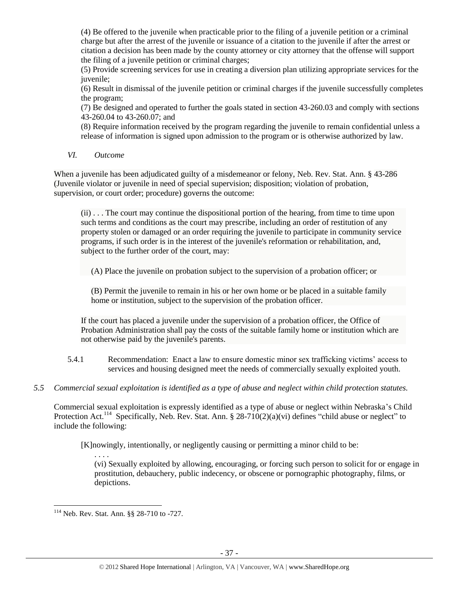(4) Be offered to the juvenile when practicable prior to the filing of a juvenile petition or a criminal charge but after the arrest of the juvenile or issuance of a citation to the juvenile if after the arrest or citation a decision has been made by the county attorney or city attorney that the offense will support the filing of a juvenile petition or criminal charges;

(5) Provide screening services for use in creating a diversion plan utilizing appropriate services for the juvenile;

(6) Result in dismissal of the juvenile petition or criminal charges if the juvenile successfully completes the program;

(7) Be designed and operated to further the goals stated in section 43-260.03 and comply with sections 43-260.04 to 43-260.07; and

(8) Require information received by the program regarding the juvenile to remain confidential unless a release of information is signed upon admission to the program or is otherwise authorized by law.

*VI. Outcome*

When a juvenile has been adjudicated guilty of a misdemeanor or felony, Neb. Rev. Stat. Ann. § 43-286 (Juvenile violator or juvenile in need of special supervision; disposition; violation of probation, supervision, or court order; procedure) governs the outcome:

(ii) . . . The court may continue the dispositional portion of the hearing, from time to time upon such terms and conditions as the court may prescribe, including an order of restitution of any property stolen or damaged or an order requiring the juvenile to participate in community service programs, if such order is in the interest of the juvenile's reformation or rehabilitation, and, subject to the further order of the court, may:

(A) Place the juvenile on probation subject to the supervision of a probation officer; or

(B) Permit the juvenile to remain in his or her own home or be placed in a suitable family home or institution, subject to the supervision of the probation officer.

If the court has placed a juvenile under the supervision of a probation officer, the Office of Probation Administration shall pay the costs of the suitable family home or institution which are not otherwise paid by the juvenile's parents.

- 5.4.1 Recommendation: Enact a law to ensure domestic minor sex trafficking victims' access to services and housing designed meet the needs of commercially sexually exploited youth.
- *5.5 Commercial sexual exploitation is identified as a type of abuse and neglect within child protection statutes.*

Commercial sexual exploitation is expressly identified as a type of abuse or neglect within Nebraska's Child Protection Act.<sup>114</sup> Specifically, Neb. Rev. Stat. Ann. § 28-710(2)(a)(vi) defines "child abuse or neglect" to include the following:

<span id="page-36-0"></span>[K]nowingly, intentionally, or negligently causing or permitting a minor child to be:

. . . . (vi) Sexually exploited by allowing, encouraging, or forcing such person to solicit for or engage in prostitution, debauchery, public indecency, or obscene or pornographic photography, films, or depictions.

 $\overline{\phantom{a}}$ <sup>114</sup> Neb. Rev. Stat. Ann. §§ 28-710 to -727.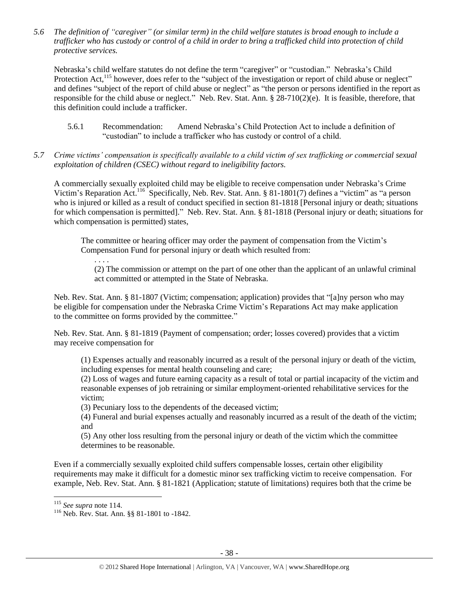*5.6 The definition of "caregiver" (or similar term) in the child welfare statutes is broad enough to include a trafficker who has custody or control of a child in order to bring a trafficked child into protection of child protective services.*

Nebraska's child welfare statutes do not define the term "caregiver" or "custodian." Nebraska's Child Protection Act,<sup>115</sup> however, does refer to the "subject of the investigation or report of child abuse or neglect" and defines "subject of the report of child abuse or neglect" as "the person or persons identified in the report as responsible for the child abuse or neglect." Neb. Rev. Stat. Ann. § 28-710(2)(e). It is feasible, therefore, that this definition could include a trafficker.

- 5.6.1 Recommendation: Amend Nebraska's Child Protection Act to include a definition of "custodian" to include a trafficker who has custody or control of a child.
- *5.7 Crime victims' compensation is specifically available to a child victim of sex trafficking or commercial sexual exploitation of children (CSEC) without regard to ineligibility factors.*

A commercially sexually exploited child may be eligible to receive compensation under Nebraska's Crime Victim's Reparation Act.<sup>116</sup> Specifically, Neb. Rev. Stat. Ann. § 81-1801(7) defines a "victim" as "a person who is injured or killed as a result of conduct specified in section 81-1818 [Personal injury or death; situations for which compensation is permitted]." Neb. Rev. Stat. Ann. § 81-1818 (Personal injury or death; situations for which compensation is permitted) states,

The committee or hearing officer may order the payment of compensation from the Victim's Compensation Fund for personal injury or death which resulted from:

. . . .

(2) The commission or attempt on the part of one other than the applicant of an unlawful criminal act committed or attempted in the State of Nebraska.

Neb. Rev. Stat. Ann. § 81-1807 (Victim; compensation; application) provides that "[a]ny person who may be eligible for compensation under the Nebraska Crime Victim's Reparations Act may make application to the committee on forms provided by the committee."

Neb. Rev. Stat. Ann. § 81-1819 (Payment of compensation; order; losses covered) provides that a victim may receive compensation for

(1) Expenses actually and reasonably incurred as a result of the personal injury or death of the victim, including expenses for mental health counseling and care;

(2) Loss of wages and future earning capacity as a result of total or partial incapacity of the victim and reasonable expenses of job retraining or similar employment-oriented rehabilitative services for the victim;

(3) Pecuniary loss to the dependents of the deceased victim;

(4) Funeral and burial expenses actually and reasonably incurred as a result of the death of the victim; and

(5) Any other loss resulting from the personal injury or death of the victim which the committee determines to be reasonable.

Even if a commercially sexually exploited child suffers compensable losses, certain other eligibility requirements may make it difficult for a domestic minor sex trafficking victim to receive compensation. For example, Neb. Rev. Stat. Ann. § 81-1821 (Application; statute of limitations) requires both that the crime be

 $\overline{a}$ 

<sup>115</sup> *See supra* not[e 114.](#page-36-0)

<sup>116</sup> Neb. Rev. Stat. Ann. §§ 81-1801 to -1842.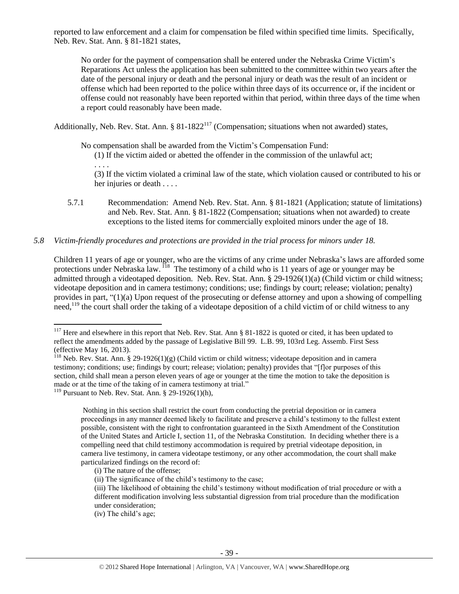reported to law enforcement and a claim for compensation be filed within specified time limits. Specifically, Neb. Rev. Stat. Ann. § 81-1821 states,

No order for the payment of compensation shall be entered under the Nebraska Crime Victim's Reparations Act unless the application has been submitted to the committee within two years after the date of the personal injury or death and the personal injury or death was the result of an incident or offense which had been reported to the police within three days of its occurrence or, if the incident or offense could not reasonably have been reported within that period, within three days of the time when a report could reasonably have been made.

Additionally, Neb. Rev. Stat. Ann. §  $81-1822^{117}$  (Compensation; situations when not awarded) states,

No compensation shall be awarded from the Victim's Compensation Fund:

(1) If the victim aided or abetted the offender in the commission of the unlawful act;

. . . . (3) If the victim violated a criminal law of the state, which violation caused or contributed to his or her injuries or death . . . .

5.7.1 Recommendation: Amend Neb. Rev. Stat. Ann. § 81-1821 (Application; statute of limitations) and Neb. Rev. Stat. Ann. § 81-1822 (Compensation; situations when not awarded) to create exceptions to the listed items for commercially exploited minors under the age of 18.

#### *5.8 Victim-friendly procedures and protections are provided in the trial process for minors under 18.*

Children 11 years of age or younger, who are the victims of any crime under Nebraska's laws are afforded some protections under Nebraska law. <sup>118</sup> The testimony of a child who is 11 years of age or younger may be admitted through a videotaped deposition. Neb. Rev. Stat. Ann. § 29-1926(1)(a) (Child victim or child witness; videotape deposition and in camera testimony; conditions; use; findings by court; release; violation; penalty) provides in part, "(1)(a) Upon request of the prosecuting or defense attorney and upon a showing of compelling need.<sup>119</sup> the court shall order the taking of a videotape deposition of a child victim of or child witness to any

 $119$  Pursuant to Neb. Rev. Stat. Ann. § 29-1926(1)(h),

 $\overline{\phantom{a}}$ 

Nothing in this section shall restrict the court from conducting the pretrial deposition or in camera proceedings in any manner deemed likely to facilitate and preserve a child's testimony to the fullest extent possible, consistent with the right to confrontation guaranteed in the Sixth Amendment of the Constitution of the United States and Article I, section 11, of the Nebraska Constitution. In deciding whether there is a compelling need that child testimony accommodation is required by pretrial videotape deposition, in camera live testimony, in camera videotape testimony, or any other accommodation, the court shall make particularized findings on the record of:

<sup>&</sup>lt;sup>117</sup> Here and elsewhere in this report that Neb. Rev. Stat. Ann § 81-1822 is quoted or cited, it has been updated to reflect the amendments added by the passage of Legislative Bill 99. L.B. 99, 103rd Leg. Assemb. First Sess (effective May 16, 2013).

<sup>118</sup> Neb. Rev. Stat. Ann. § 29-1926(1)(g) (Child victim or child witness; videotape deposition and in camera testimony; conditions; use; findings by court; release; violation; penalty) provides that "[f]or purposes of this section, child shall mean a person eleven years of age or younger at the time the motion to take the deposition is made or at the time of the taking of in camera testimony at trial."

<sup>(</sup>i) The nature of the offense;

<sup>(</sup>ii) The significance of the child's testimony to the case;

<sup>(</sup>iii) The likelihood of obtaining the child's testimony without modification of trial procedure or with a different modification involving less substantial digression from trial procedure than the modification under consideration;

<sup>(</sup>iv) The child's age;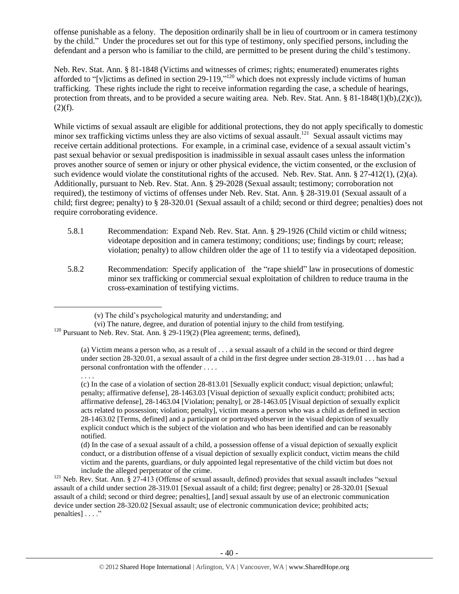offense punishable as a felony. The deposition ordinarily shall be in lieu of courtroom or in camera testimony by the child." Under the procedures set out for this type of testimony, only specified persons, including the defendant and a person who is familiar to the child, are permitted to be present during the child's testimony.

Neb. Rev. Stat. Ann. § 81-1848 (Victims and witnesses of crimes; rights; enumerated) enumerates rights afforded to "[v]ictims as defined in section 29-119,"<sup>120</sup> which does not expressly include victims of human trafficking. These rights include the right to receive information regarding the case, a schedule of hearings, protection from threats, and to be provided a secure waiting area. Neb. Rev. Stat. Ann. § 81-1848(1)(b),(2)(c)),  $(2)(f)$ .

While victims of sexual assault are eligible for additional protections, they do not apply specifically to domestic minor sex trafficking victims unless they are also victims of sexual assault.<sup>121</sup> Sexual assault victims may receive certain additional protections. For example, in a criminal case, evidence of a sexual assault victim's past sexual behavior or sexual predisposition is inadmissible in sexual assault cases unless the information proves another source of semen or injury or other physical evidence, the victim consented, or the exclusion of such evidence would violate the constitutional rights of the accused. Neb. Rev. Stat. Ann. § 27-412(1), (2)(a). Additionally, pursuant to Neb. Rev. Stat. Ann. § 29-2028 (Sexual assault; testimony; corroboration not required), the testimony of victims of offenses under Neb. Rev. Stat. Ann. § 28-319.01 (Sexual assault of a child; first degree; penalty) to § 28-320.01 (Sexual assault of a child; second or third degree; penalties) does not require corroborating evidence.

- 5.8.1 Recommendation: Expand Neb. Rev. Stat. Ann. § 29-1926 (Child victim or child witness; videotape deposition and in camera testimony; conditions; use; findings by court; release; violation; penalty) to allow children older the age of 11 to testify via a videotaped deposition.
- 5.8.2 Recommendation: Specify application of the "rape shield" law in prosecutions of domestic minor sex trafficking or commercial sexual exploitation of children to reduce trauma in the cross-examination of testifying victims.

l

<sup>(</sup>v) The child's psychological maturity and understanding; and

<sup>(</sup>vi) The nature, degree, and duration of potential injury to the child from testifying.  $120$  Pursuant to Neb. Rev. Stat. Ann. § 29-119(2) (Plea agreement; terms, defined),

<sup>(</sup>a) Victim means a person who, as a result of . . . a sexual assault of a child in the second or third degree under section 28-320.01, a sexual assault of a child in the first degree under section 28-319.01 . . . has had a personal confrontation with the offender . . . . . . . .

<sup>(</sup>c) In the case of a violation of section 28-813.01 [Sexually explicit conduct; visual depiction; unlawful; penalty; affirmative defense], 28-1463.03 [Visual depiction of sexually explicit conduct; prohibited acts; affirmative defense], 28-1463.04 [Violation; penalty], or 28-1463.05 [Visual depiction of sexually explicit acts related to possession; violation; penalty], victim means a person who was a child as defined in section 28-1463.02 [Terms, defined] and a participant or portrayed observer in the visual depiction of sexually explicit conduct which is the subject of the violation and who has been identified and can be reasonably notified.

<sup>(</sup>d) In the case of a sexual assault of a child, a possession offense of a visual depiction of sexually explicit conduct, or a distribution offense of a visual depiction of sexually explicit conduct, victim means the child victim and the parents, guardians, or duly appointed legal representative of the child victim but does not include the alleged perpetrator of the crime.

 $121$  Neb. Rev. Stat. Ann. § 27-413 (Offense of sexual assault, defined) provides that sexual assault includes "sexual assault of a child under section 28-319.01 [Sexual assault of a child; first degree; penalty] or 28-320.01 [Sexual assault of a child; second or third degree; penalties], [and] sexual assault by use of an electronic communication device under section 28-320.02 [Sexual assault; use of electronic communication device; prohibited acts; penalties] . . . ."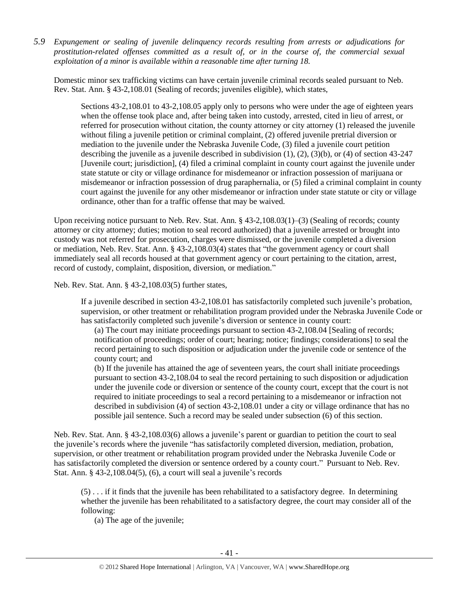*5.9 Expungement or sealing of juvenile delinquency records resulting from arrests or adjudications for prostitution-related offenses committed as a result of, or in the course of, the commercial sexual exploitation of a minor is available within a reasonable time after turning 18.*

Domestic minor sex trafficking victims can have certain juvenile criminal records sealed pursuant to Neb. Rev. Stat. Ann. § 43-2,108.01 (Sealing of records; juveniles eligible), which states,

Sections 43-2,108.01 to 43-2,108.05 apply only to persons who were under the age of eighteen years when the offense took place and, after being taken into custody, arrested, cited in lieu of arrest, or referred for prosecution without citation, the county attorney or city attorney (1) released the juvenile without filing a juvenile petition or criminal complaint, (2) offered juvenile pretrial diversion or mediation to the juvenile under the Nebraska Juvenile Code, (3) filed a juvenile court petition describing the juvenile as a juvenile described in subdivision (1), (2), (3)(b), or (4) of section 43-247 [Juvenile court; jurisdiction], (4) filed a criminal complaint in county court against the juvenile under state statute or city or village ordinance for misdemeanor or infraction possession of marijuana or misdemeanor or infraction possession of drug paraphernalia, or (5) filed a criminal complaint in county court against the juvenile for any other misdemeanor or infraction under state statute or city or village ordinance, other than for a traffic offense that may be waived.

Upon receiving notice pursuant to Neb. Rev. Stat. Ann. § 43-2,108.03(1)–(3) (Sealing of records; county attorney or city attorney; duties; motion to seal record authorized) that a juvenile arrested or brought into custody was not referred for prosecution, charges were dismissed, or the juvenile completed a diversion or mediation, Neb. Rev. Stat. Ann. § 43-2,108.03(4) states that "the government agency or court shall immediately seal all records housed at that government agency or court pertaining to the citation, arrest, record of custody, complaint, disposition, diversion, or mediation."

Neb. Rev. Stat. Ann. § 43-2,108.03(5) further states,

If a juvenile described in section 43-2,108.01 has satisfactorily completed such juvenile's probation, supervision, or other treatment or rehabilitation program provided under the Nebraska Juvenile Code or has satisfactorily completed such juvenile's diversion or sentence in county court:

(a) The court may initiate proceedings pursuant to section 43-2,108.04 [Sealing of records; notification of proceedings; order of court; hearing; notice; findings; considerations] to seal the record pertaining to such disposition or adjudication under the juvenile code or sentence of the county court; and

(b) If the juvenile has attained the age of seventeen years, the court shall initiate proceedings pursuant to section 43-2,108.04 to seal the record pertaining to such disposition or adjudication under the juvenile code or diversion or sentence of the county court, except that the court is not required to initiate proceedings to seal a record pertaining to a misdemeanor or infraction not described in subdivision (4) of section 43-2,108.01 under a city or village ordinance that has no possible jail sentence. Such a record may be sealed under subsection (6) of this section.

Neb. Rev. Stat. Ann. § 43-2,108.03(6) allows a juvenile's parent or guardian to petition the court to seal the juvenile's records where the juvenile "has satisfactorily completed diversion, mediation, probation, supervision, or other treatment or rehabilitation program provided under the Nebraska Juvenile Code or has satisfactorily completed the diversion or sentence ordered by a county court." Pursuant to Neb. Rev. Stat. Ann. § 43-2,108.04(5), (6), a court will seal a juvenile's records

(5) . . . if it finds that the juvenile has been rehabilitated to a satisfactory degree. In determining whether the juvenile has been rehabilitated to a satisfactory degree, the court may consider all of the following:

(a) The age of the juvenile;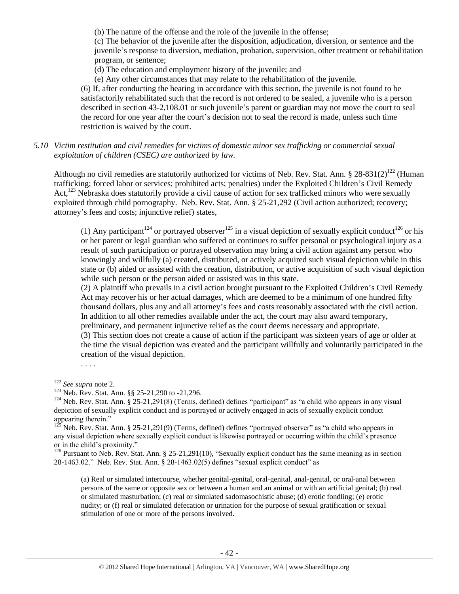(b) The nature of the offense and the role of the juvenile in the offense;

(c) The behavior of the juvenile after the disposition, adjudication, diversion, or sentence and the juvenile's response to diversion, mediation, probation, supervision, other treatment or rehabilitation program, or sentence;

(d) The education and employment history of the juvenile; and

(e) Any other circumstances that may relate to the rehabilitation of the juvenile.

(6) If, after conducting the hearing in accordance with this section, the juvenile is not found to be satisfactorily rehabilitated such that the record is not ordered to be sealed, a juvenile who is a person described in section 43-2,108.01 or such juvenile's parent or guardian may not move the court to seal the record for one year after the court's decision not to seal the record is made, unless such time restriction is waived by the court.

*5.10 Victim restitution and civil remedies for victims of domestic minor sex trafficking or commercial sexual exploitation of children (CSEC) are authorized by law.* 

Although no civil remedies are statutorily authorized for victims of Neb. Rev. Stat. Ann. § 28-831(2)<sup>122</sup> (Human trafficking; forced labor or services; prohibited acts; penalties) under the Exploited Children's Civil Remedy Act,<sup>123</sup> Nebraska does statutorily provide a civil cause of action for sex trafficked minors who were sexually exploited through child pornography. Neb. Rev. Stat. Ann. § 25-21,292 (Civil action authorized; recovery; attorney's fees and costs; injunctive relief) states,

(1) Any participant<sup>124</sup> or portrayed observer<sup>125</sup> in a visual depiction of sexually explicit conduct<sup>126</sup> or his or her parent or legal guardian who suffered or continues to suffer personal or psychological injury as a result of such participation or portrayed observation may bring a civil action against any person who knowingly and willfully (a) created, distributed, or actively acquired such visual depiction while in this state or (b) aided or assisted with the creation, distribution, or active acquisition of such visual depiction while such person or the person aided or assisted was in this state.

(2) A plaintiff who prevails in a civil action brought pursuant to the Exploited Children's Civil Remedy Act may recover his or her actual damages, which are deemed to be a minimum of one hundred fifty thousand dollars, plus any and all attorney's fees and costs reasonably associated with the civil action. In addition to all other remedies available under the act, the court may also award temporary, preliminary, and permanent injunctive relief as the court deems necessary and appropriate. (3) This section does not create a cause of action if the participant was sixteen years of age or older at

the time the visual depiction was created and the participant willfully and voluntarily participated in the creation of the visual depiction.

 $\overline{\phantom{a}}$ 

<sup>126</sup> Pursuant to Neb. Rev. Stat. Ann. § 25-21,291(10), "Sexually explicit conduct has the same meaning as in section 28-1463.02." Neb. Rev. Stat. Ann. § 28-1463.02(5) defines "sexual explicit conduct" as

(a) Real or simulated intercourse, whether genital-genital, oral-genital, anal-genital, or oral-anal between persons of the same or opposite sex or between a human and an animal or with an artificial genital; (b) real or simulated masturbation; (c) real or simulated sadomasochistic abuse; (d) erotic fondling; (e) erotic nudity; or (f) real or simulated defecation or urination for the purpose of sexual gratification or sexual stimulation of one or more of the persons involved.

<sup>. . . .</sup>

<sup>122</sup> *See supra* not[e 2.](#page-2-1)

<sup>&</sup>lt;sup>123</sup> Neb. Rev. Stat. Ann. §§ 25-21,290 to -21,296.

 $124$  Neb. Rev. Stat. Ann. § 25-21, 291(8) (Terms, defined) defines "participant" as "a child who appears in any visual depiction of sexually explicit conduct and is portrayed or actively engaged in acts of sexually explicit conduct appearing therein."

<sup>125</sup> Neb. Rev. Stat. Ann. § 25-21,291(9) (Terms, defined) defines "portrayed observer" as "a child who appears in any visual depiction where sexually explicit conduct is likewise portrayed or occurring within the child's presence or in the child's proximity."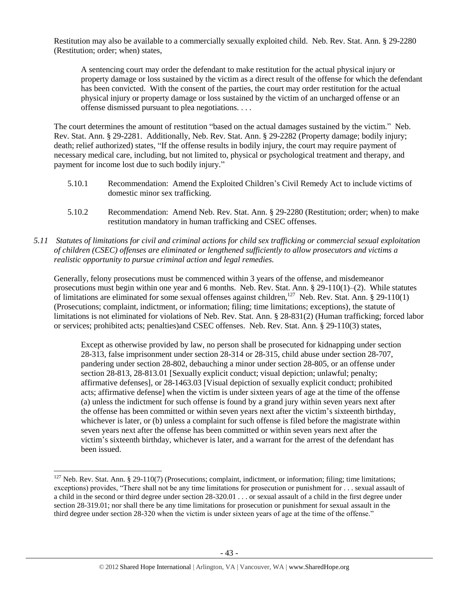Restitution may also be available to a commercially sexually exploited child. Neb. Rev. Stat. Ann. § 29-2280 (Restitution; order; when) states,

A sentencing court may order the defendant to make restitution for the actual physical injury or property damage or loss sustained by the victim as a direct result of the offense for which the defendant has been convicted. With the consent of the parties, the court may order restitution for the actual physical injury or property damage or loss sustained by the victim of an uncharged offense or an offense dismissed pursuant to plea negotiations. . . .

The court determines the amount of restitution "based on the actual damages sustained by the victim." Neb. Rev. Stat. Ann. § 29-2281. Additionally, Neb. Rev. Stat. Ann. § 29-2282 (Property damage; bodily injury; death; relief authorized) states, "If the offense results in bodily injury, the court may require payment of necessary medical care, including, but not limited to, physical or psychological treatment and therapy, and payment for income lost due to such bodily injury."

- 5.10.1 Recommendation: Amend the Exploited Children's Civil Remedy Act to include victims of domestic minor sex trafficking.
- 5.10.2 Recommendation: Amend Neb. Rev. Stat. Ann. § 29-2280 (Restitution; order; when) to make restitution mandatory in human trafficking and CSEC offenses.
- *5.11 Statutes of limitations for civil and criminal actions for child sex trafficking or commercial sexual exploitation of children (CSEC) offenses are eliminated or lengthened sufficiently to allow prosecutors and victims a realistic opportunity to pursue criminal action and legal remedies.*

Generally, felony prosecutions must be commenced within 3 years of the offense, and misdemeanor prosecutions must begin within one year and 6 months. Neb. Rev. Stat. Ann. § 29-110(1)–(2). While statutes of limitations are eliminated for some sexual offenses against children,<sup>127</sup> Neb. Rev. Stat. Ann. § 29-110(1) (Prosecutions; complaint, indictment, or information; filing; time limitations; exceptions), the statute of limitations is not eliminated for violations of Neb. Rev. Stat. Ann. § 28-831(2) (Human trafficking; forced labor or services; prohibited acts; penalties)and CSEC offenses. Neb. Rev. Stat. Ann. § 29-110(3) states,

Except as otherwise provided by law, no person shall be prosecuted for kidnapping under section 28-313, false imprisonment under section 28-314 or 28-315, child abuse under section 28-707, pandering under section 28-802, debauching a minor under section 28-805, or an offense under section 28-813, 28-813.01 [Sexually explicit conduct; visual depiction; unlawful; penalty; affirmative defenses], or 28-1463.03 [Visual depiction of sexually explicit conduct; prohibited acts; affirmative defense] when the victim is under sixteen years of age at the time of the offense (a) unless the indictment for such offense is found by a grand jury within seven years next after the offense has been committed or within seven years next after the victim's sixteenth birthday, whichever is later, or (b) unless a complaint for such offense is filed before the magistrate within seven years next after the offense has been committed or within seven years next after the victim's sixteenth birthday, whichever is later, and a warrant for the arrest of the defendant has been issued.

l

 $127$  Neb. Rev. Stat. Ann. § 29-110(7) (Prosecutions; complaint, indictment, or information; filing; time limitations; exceptions) provides, "There shall not be any time limitations for prosecution or punishment for . . . sexual assault of a child in the second or third degree under section 28-320.01 . . . or sexual assault of a child in the first degree under section 28-319.01; nor shall there be any time limitations for prosecution or punishment for sexual assault in the third degree under section 28-320 when the victim is under sixteen years of age at the time of the offense."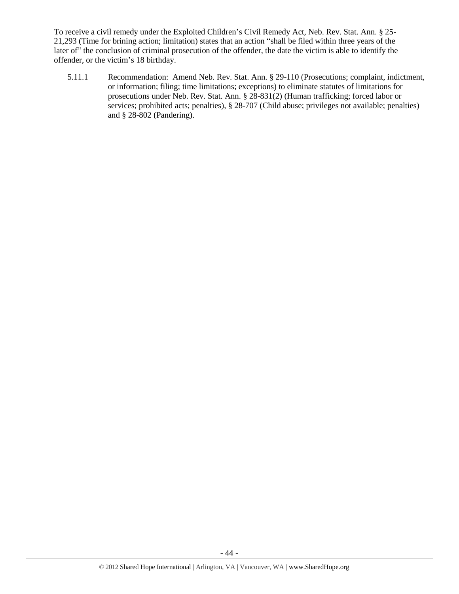To receive a civil remedy under the Exploited Children's Civil Remedy Act, Neb. Rev. Stat. Ann. § 25- 21,293 (Time for brining action; limitation) states that an action "shall be filed within three years of the later of" the conclusion of criminal prosecution of the offender, the date the victim is able to identify the offender, or the victim's 18 birthday.

5.11.1 Recommendation: Amend Neb. Rev. Stat. Ann. § 29-110 (Prosecutions; complaint, indictment, or information; filing; time limitations; exceptions) to eliminate statutes of limitations for prosecutions under Neb. Rev. Stat. Ann. § 28-831(2) (Human trafficking; forced labor or services; prohibited acts; penalties), § 28-707 (Child abuse; privileges not available; penalties) and § 28-802 (Pandering).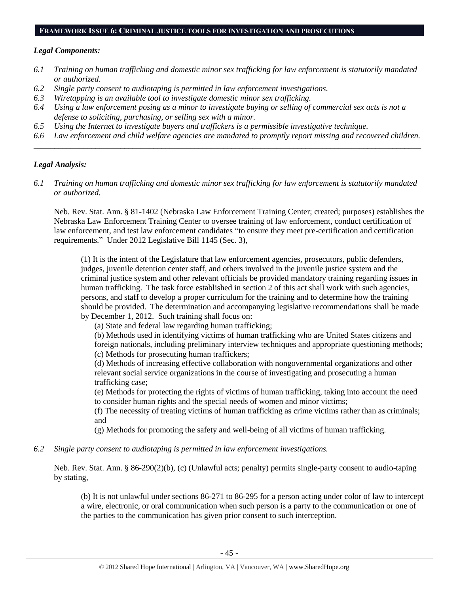#### **FRAMEWORK ISSUE 6: CRIMINAL JUSTICE TOOLS FOR INVESTIGATION AND PROSECUTIONS**

#### *Legal Components:*

- *6.1 Training on human trafficking and domestic minor sex trafficking for law enforcement is statutorily mandated or authorized.*
- *6.2 Single party consent to audiotaping is permitted in law enforcement investigations.*
- *6.3 Wiretapping is an available tool to investigate domestic minor sex trafficking.*
- *6.4 Using a law enforcement posing as a minor to investigate buying or selling of commercial sex acts is not a defense to soliciting, purchasing, or selling sex with a minor.*
- *6.5 Using the Internet to investigate buyers and traffickers is a permissible investigative technique.*
- *6.6 Law enforcement and child welfare agencies are mandated to promptly report missing and recovered children. \_\_\_\_\_\_\_\_\_\_\_\_\_\_\_\_\_\_\_\_\_\_\_\_\_\_\_\_\_\_\_\_\_\_\_\_\_\_\_\_\_\_\_\_\_\_\_\_\_\_\_\_\_\_\_\_\_\_\_\_\_\_\_\_\_\_\_\_\_\_\_\_\_\_\_\_\_\_\_\_\_\_\_\_\_\_\_\_\_\_\_\_\_\_*

#### *Legal Analysis:*

*6.1 Training on human trafficking and domestic minor sex trafficking for law enforcement is statutorily mandated or authorized.*

Neb. Rev. Stat. Ann. § 81-1402 (Nebraska Law Enforcement Training Center; created; purposes) establishes the Nebraska Law Enforcement Training Center to oversee training of law enforcement, conduct certification of law enforcement, and test law enforcement candidates "to ensure they meet pre-certification and certification requirements." Under 2012 Legislative Bill 1145 (Sec. 3),

(1) It is the intent of the Legislature that law enforcement agencies, prosecutors, public defenders, judges, juvenile detention center staff, and others involved in the juvenile justice system and the criminal justice system and other relevant officials be provided mandatory training regarding issues in human trafficking. The task force established in section 2 of this act shall work with such agencies, persons, and staff to develop a proper curriculum for the training and to determine how the training should be provided. The determination and accompanying legislative recommendations shall be made by December 1, 2012. Such training shall focus on:

(a) State and federal law regarding human trafficking;

(b) Methods used in identifying victims of human trafficking who are United States citizens and foreign nationals, including preliminary interview techniques and appropriate questioning methods; (c) Methods for prosecuting human traffickers;

(d) Methods of increasing effective collaboration with nongovernmental organizations and other relevant social service organizations in the course of investigating and prosecuting a human trafficking case;

(e) Methods for protecting the rights of victims of human trafficking, taking into account the need to consider human rights and the special needs of women and minor victims;

(f) The necessity of treating victims of human trafficking as crime victims rather than as criminals; and

(g) Methods for promoting the safety and well-being of all victims of human trafficking.

*6.2 Single party consent to audiotaping is permitted in law enforcement investigations.*

Neb. Rev. Stat. Ann. § 86-290(2)(b), (c) (Unlawful acts; penalty) permits single-party consent to audio-taping by stating,

(b) It is not unlawful under sections 86-271 to 86-295 for a person acting under color of law to intercept a wire, electronic, or oral communication when such person is a party to the communication or one of the parties to the communication has given prior consent to such interception.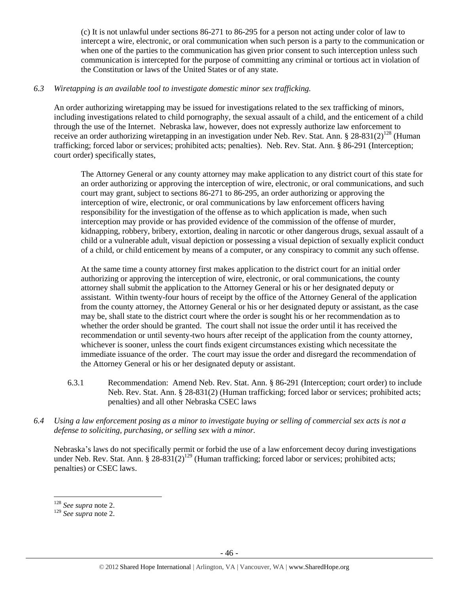(c) It is not unlawful under sections 86-271 to 86-295 for a person not acting under color of law to intercept a wire, electronic, or oral communication when such person is a party to the communication or when one of the parties to the communication has given prior consent to such interception unless such communication is intercepted for the purpose of committing any criminal or tortious act in violation of the Constitution or laws of the United States or of any state.

## *6.3 Wiretapping is an available tool to investigate domestic minor sex trafficking.*

An order authorizing wiretapping may be issued for investigations related to the sex trafficking of minors, including investigations related to child pornography, the sexual assault of a child, and the enticement of a child through the use of the Internet. Nebraska law, however, does not expressly authorize law enforcement to receive an order authorizing wiretapping in an investigation under Neb. Rev. Stat. Ann. §  $28-831(2)^{128}$  (Human trafficking; forced labor or services; prohibited acts; penalties). Neb. Rev. Stat. Ann. § 86-291 (Interception; court order) specifically states,

The Attorney General or any county attorney may make application to any district court of this state for an order authorizing or approving the interception of wire, electronic, or oral communications, and such court may grant, subject to sections 86-271 to 86-295, an order authorizing or approving the interception of wire, electronic, or oral communications by law enforcement officers having responsibility for the investigation of the offense as to which application is made, when such interception may provide or has provided evidence of the commission of the offense of murder, kidnapping, robbery, bribery, extortion, dealing in narcotic or other dangerous drugs, sexual assault of a child or a vulnerable adult, visual depiction or possessing a visual depiction of sexually explicit conduct of a child, or child enticement by means of a computer, or any conspiracy to commit any such offense.

At the same time a county attorney first makes application to the district court for an initial order authorizing or approving the interception of wire, electronic, or oral communications, the county attorney shall submit the application to the Attorney General or his or her designated deputy or assistant. Within twenty-four hours of receipt by the office of the Attorney General of the application from the county attorney, the Attorney General or his or her designated deputy or assistant, as the case may be, shall state to the district court where the order is sought his or her recommendation as to whether the order should be granted. The court shall not issue the order until it has received the recommendation or until seventy-two hours after receipt of the application from the county attorney, whichever is sooner, unless the court finds exigent circumstances existing which necessitate the immediate issuance of the order. The court may issue the order and disregard the recommendation of the Attorney General or his or her designated deputy or assistant.

- 6.3.1 Recommendation: Amend Neb. Rev. Stat. Ann. § 86-291 (Interception; court order) to include Neb. Rev. Stat. Ann. § 28-831(2) (Human trafficking; forced labor or services; prohibited acts; penalties) and all other Nebraska CSEC laws
- *6.4 Using a law enforcement posing as a minor to investigate buying or selling of commercial sex acts is not a defense to soliciting, purchasing, or selling sex with a minor.*

Nebraska's laws do not specifically permit or forbid the use of a law enforcement decoy during investigations under Neb. Rev. Stat. Ann. § 28-831(2)<sup>129</sup> (Human trafficking; forced labor or services; prohibited acts; penalties) or CSEC laws.

 $\overline{a}$ <sup>128</sup> *See supra* not[e 2.](#page-2-1)

<sup>129</sup> *See supra* not[e 2.](#page-2-1)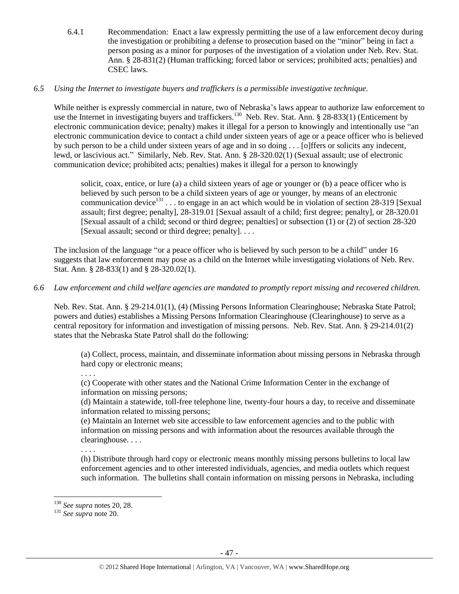6.4.1 Recommendation: Enact a law expressly permitting the use of a law enforcement decoy during the investigation or prohibiting a defense to prosecution based on the "minor" being in fact a person posing as a minor for purposes of the investigation of a violation under Neb. Rev. Stat. Ann. § 28-831(2) (Human trafficking; forced labor or services; prohibited acts; penalties) and CSEC laws.

# *6.5 Using the Internet to investigate buyers and traffickers is a permissible investigative technique.*

While neither is expressly commercial in nature, two of Nebraska's laws appear to authorize law enforcement to use the Internet in investigating buyers and traffickers.<sup>130</sup> Neb. Rev. Stat. Ann. § 28-833(1) (Enticement by electronic communication device; penalty) makes it illegal for a person to knowingly and intentionally use "an electronic communication device to contact a child under sixteen years of age or a peace officer who is believed by such person to be a child under sixteen years of age and in so doing . . . [o]ffers or solicits any indecent, lewd, or lascivious act." Similarly, Neb. Rev. Stat. Ann. § 28-320.02(1) (Sexual assault; use of electronic communication device; prohibited acts; penalties) makes it illegal for a person to knowingly

solicit, coax, entice, or lure (a) a child sixteen years of age or younger or (b) a peace officer who is believed by such person to be a child sixteen years of age or younger, by means of an electronic communication device<sup>131</sup>... to engage in an act which would be in violation of section [28-319](http://nebraskalegislature.gov/laws/statutes.php?statute=28-319) [Sexual] assault; first degree; penalty], [28-319.01](http://nebraskalegislature.gov/laws/statutes.php?statute=28-319.01) [Sexual assault of a child; first degree; penalty], or [28-320.01](http://nebraskalegislature.gov/laws/statutes.php?statute=28-320.01) [Sexual assault of a child; second or third degree; penalties] or subsection (1) or (2) of section [28-320](http://nebraskalegislature.gov/laws/statutes.php?statute=28-320) [Sexual assault; second or third degree; penalty]. . . .

The inclusion of the language "or a peace officer who is believed by such person to be a child" under 16 suggests that law enforcement may pose as a child on the Internet while investigating violations of Neb. Rev. Stat. Ann. § 28-833(1) and § 28-320.02(1).

# *6.6 Law enforcement and child welfare agencies are mandated to promptly report missing and recovered children.*

Neb. Rev. Stat. Ann. § 29-214.01(1), (4) (Missing Persons Information Clearinghouse; Nebraska State Patrol; powers and duties) establishes a Missing Persons Information Clearinghouse (Clearinghouse) to serve as a central repository for information and investigation of missing persons. Neb. Rev. Stat. Ann. § 29-214.01(2) states that the Nebraska State Patrol shall do the following:

(a) Collect, process, maintain, and disseminate information about missing persons in Nebraska through hard copy or electronic means;

. . . .

(c) Cooperate with other states and the National Crime Information Center in the exchange of information on missing persons;

(d) Maintain a statewide, toll-free telephone line, twenty-four hours a day, to receive and disseminate information related to missing persons;

(e) Maintain an Internet web site accessible to law enforcement agencies and to the public with information on missing persons and with information about the resources available through the clearinghouse. . . .

(h) Distribute through hard copy or electronic means monthly missing persons bulletins to local law enforcement agencies and to other interested individuals, agencies, and media outlets which request such information. The bulletins shall contain information on missing persons in Nebraska, including

. . . .

 $\overline{a}$ <sup>130</sup> *See supra* note[s 20,](#page-4-0) [28.](#page-6-1)

<sup>131</sup> *See supra* not[e 20.](#page-4-0)